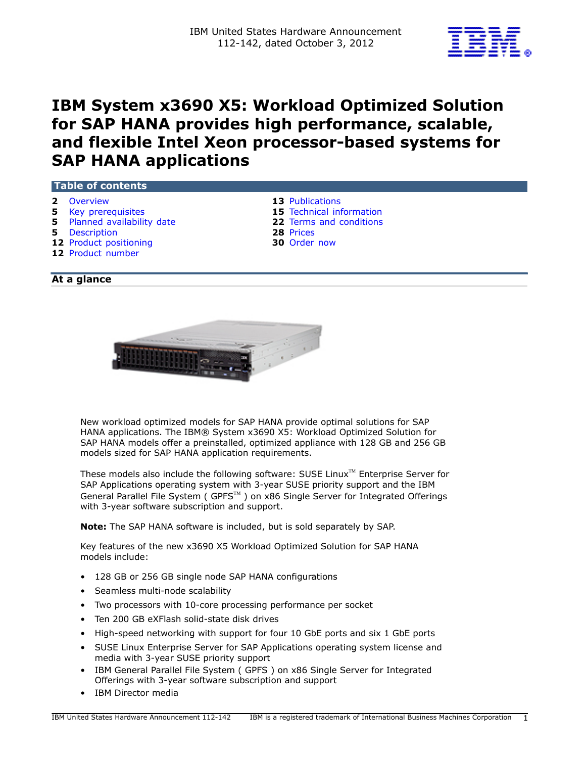

# **IBM System x3690 X5: Workload Optimized Solution for SAP HANA provides high performance, scalable, and flexible Intel Xeon processor-based systems for SAP HANA applications**

#### **Table of contents**

- 
- **2** [Overview](#page-1-0) **13** Publications<br> **13** Publications<br> **15** Technical inf
- **5** [Planned availability date](#page-4-1) **22** [Terms and conditions](#page-21-0)
- **5** [Description](#page-4-2) **28** [Prices](#page-27-0)
- **12** [Product positioning](#page-11-0) **30** [Order now](#page-29-0)
- **12** [Product number](#page-11-1)
- 
- **15** Technical information
	-
- 
- 

# **At a glance**



New workload optimized models for SAP HANA provide optimal solutions for SAP HANA applications. The IBM® System x3690 X5: Workload Optimized Solution for SAP HANA models offer a preinstalled, optimized appliance with 128 GB and 256 GB models sized for SAP HANA application requirements.

These models also include the following software: SUSE Linux $T^M$  Enterprise Server for SAP Applications operating system with 3-year SUSE priority support and the IBM General Parallel File System ( GPFS<sup>TM</sup> ) on x86 Single Server for Integrated Offerings with 3-year software subscription and support.

**Note:** The SAP HANA software is included, but is sold separately by SAP.

Key features of the new x3690 X5 Workload Optimized Solution for SAP HANA models include:

- 128 GB or 256 GB single node SAP HANA configurations
- Seamless multi-node scalability
- Two processors with 10-core processing performance per socket
- Ten 200 GB eXFlash solid-state disk drives
- High-speed networking with support for four 10 GbE ports and six 1 GbE ports
- SUSE Linux Enterprise Server for SAP Applications operating system license and media with 3-year SUSE priority support
- IBM General Parallel File System ( GPFS ) on x86 Single Server for Integrated Offerings with 3-year software subscription and support
- IBM Director media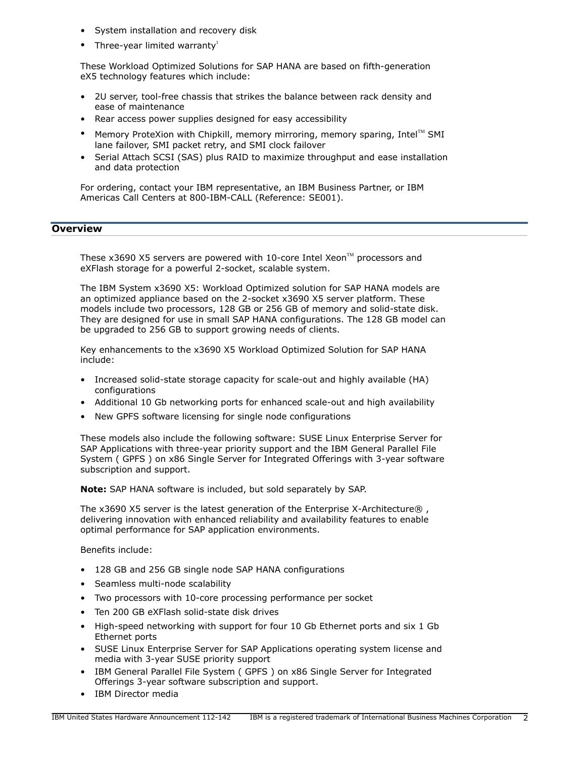- System installation and recovery disk
- Three-year limited warranty $^1$

These Workload Optimized Solutions for SAP HANA are based on fifth-generation eX5 technology features which include:

- 2U server, tool-free chassis that strikes the balance between rack density and ease of maintenance
- Rear access power supplies designed for easy accessibility
- Memory ProteXion with Chipkill, memory mirroring, memory sparing, Intel™ SMI lane failover, SMI packet retry, and SMI clock failover
- Serial Attach SCSI (SAS) plus RAID to maximize throughput and ease installation and data protection

For ordering, contact your IBM representative, an IBM Business Partner, or IBM Americas Call Centers at 800-IBM-CALL (Reference: SE001).

# <span id="page-1-0"></span>**Overview**

These x3690 X5 servers are powered with 10-core Intel Xeon<sup> $M$ </sup> processors and eXFlash storage for a powerful 2-socket, scalable system.

The IBM System x3690 X5: Workload Optimized solution for SAP HANA models are an optimized appliance based on the 2-socket x3690 X5 server platform. These models include two processors, 128 GB or 256 GB of memory and solid-state disk. They are designed for use in small SAP HANA configurations. The 128 GB model can be upgraded to 256 GB to support growing needs of clients.

Key enhancements to the x3690 X5 Workload Optimized Solution for SAP HANA include:

- Increased solid-state storage capacity for scale-out and highly available (HA) configurations
- Additional 10 Gb networking ports for enhanced scale-out and high availability
- New GPFS software licensing for single node configurations

These models also include the following software: SUSE Linux Enterprise Server for SAP Applications with three-year priority support and the IBM General Parallel File System ( GPFS ) on x86 Single Server for Integrated Offerings with 3-year software subscription and support.

**Note:** SAP HANA software is included, but sold separately by SAP.

The x3690 X5 server is the latest generation of the Enterprise X-Architecture® , delivering innovation with enhanced reliability and availability features to enable optimal performance for SAP application environments.

Benefits include:

- 128 GB and 256 GB single node SAP HANA configurations
- Seamless multi-node scalability
- Two processors with 10-core processing performance per socket
- Ten 200 GB eXFlash solid-state disk drives
- High-speed networking with support for four 10 Gb Ethernet ports and six 1 Gb Ethernet ports
- SUSE Linux Enterprise Server for SAP Applications operating system license and media with 3-year SUSE priority support
- IBM General Parallel File System ( GPFS ) on x86 Single Server for Integrated Offerings 3-year software subscription and support.
- IBM Director media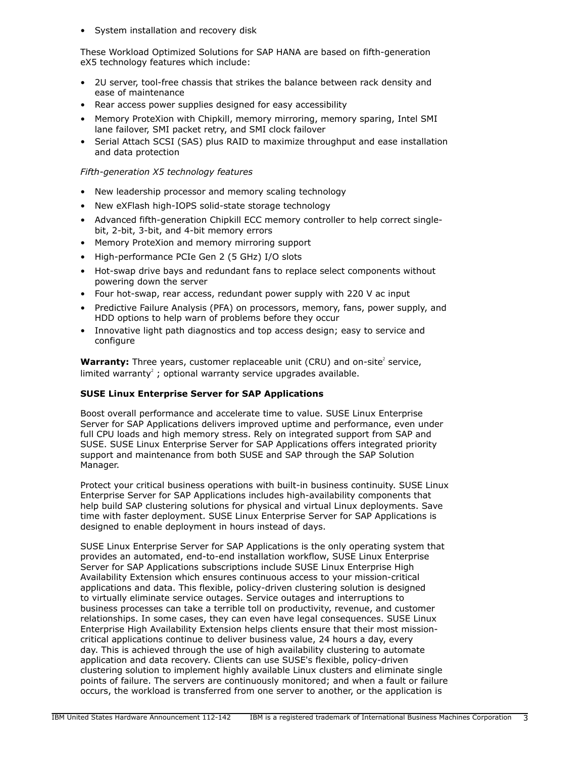• System installation and recovery disk

These Workload Optimized Solutions for SAP HANA are based on fifth-generation eX5 technology features which include:

- 2U server, tool-free chassis that strikes the balance between rack density and ease of maintenance
- Rear access power supplies designed for easy accessibility
- Memory ProteXion with Chipkill, memory mirroring, memory sparing, Intel SMI lane failover, SMI packet retry, and SMI clock failover
- Serial Attach SCSI (SAS) plus RAID to maximize throughput and ease installation and data protection

## *Fifth-generation X5 technology features*

- New leadership processor and memory scaling technology
- New eXFlash high-IOPS solid-state storage technology
- Advanced fifth-generation Chipkill ECC memory controller to help correct singlebit, 2-bit, 3-bit, and 4-bit memory errors
- Memory ProteXion and memory mirroring support
- High-performance PCIe Gen 2 (5 GHz) I/O slots
- Hot-swap drive bays and redundant fans to replace select components without powering down the server
- Four hot-swap, rear access, redundant power supply with 220 V ac input
- Predictive Failure Analysis (PFA) on processors, memory, fans, power supply, and HDD options to help warn of problems before they occur
- Innovative light path diagnostics and top access design; easy to service and configure

**Warranty:** Three years, customer replaceable unit (CRU) and on-site<sup>2</sup> service, limited warranty<sup>2</sup>; optional warranty service upgrades available.

# **SUSE Linux Enterprise Server for SAP Applications**

Boost overall performance and accelerate time to value. SUSE Linux Enterprise Server for SAP Applications delivers improved uptime and performance, even under full CPU loads and high memory stress. Rely on integrated support from SAP and SUSE. SUSE Linux Enterprise Server for SAP Applications offers integrated priority support and maintenance from both SUSE and SAP through the SAP Solution Manager.

Protect your critical business operations with built-in business continuity. SUSE Linux Enterprise Server for SAP Applications includes high-availability components that help build SAP clustering solutions for physical and virtual Linux deployments. Save time with faster deployment. SUSE Linux Enterprise Server for SAP Applications is designed to enable deployment in hours instead of days.

SUSE Linux Enterprise Server for SAP Applications is the only operating system that provides an automated, end-to-end installation workflow, SUSE Linux Enterprise Server for SAP Applications subscriptions include SUSE Linux Enterprise High Availability Extension which ensures continuous access to your mission-critical applications and data. This flexible, policy-driven clustering solution is designed to virtually eliminate service outages. Service outages and interruptions to business processes can take a terrible toll on productivity, revenue, and customer relationships. In some cases, they can even have legal consequences. SUSE Linux Enterprise High Availability Extension helps clients ensure that their most missioncritical applications continue to deliver business value, 24 hours a day, every day. This is achieved through the use of high availability clustering to automate application and data recovery. Clients can use SUSE's flexible, policy-driven clustering solution to implement highly available Linux clusters and eliminate single points of failure. The servers are continuously monitored; and when a fault or failure occurs, the workload is transferred from one server to another, or the application is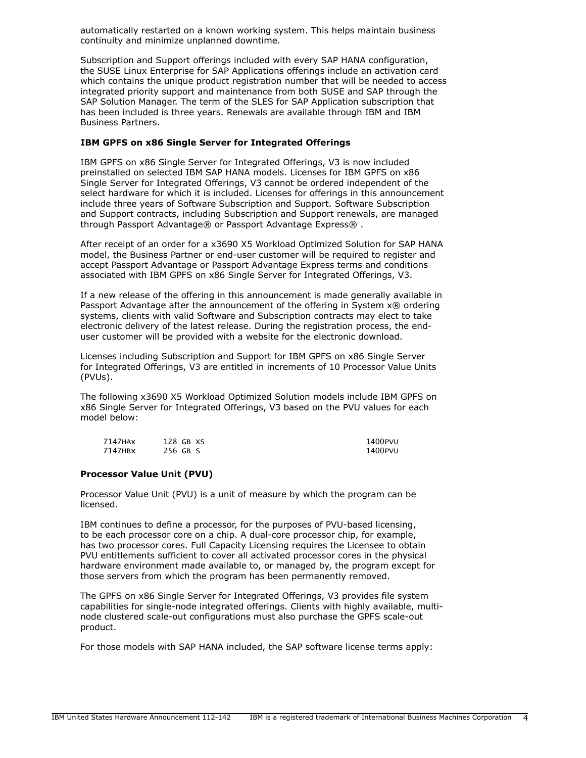automatically restarted on a known working system. This helps maintain business continuity and minimize unplanned downtime.

Subscription and Support offerings included with every SAP HANA configuration, the SUSE Linux Enterprise for SAP Applications offerings include an activation card which contains the unique product registration number that will be needed to access integrated priority support and maintenance from both SUSE and SAP through the SAP Solution Manager. The term of the SLES for SAP Application subscription that has been included is three years. Renewals are available through IBM and IBM Business Partners.

## **IBM GPFS on x86 Single Server for Integrated Offerings**

IBM GPFS on x86 Single Server for Integrated Offerings, V3 is now included preinstalled on selected IBM SAP HANA models. Licenses for IBM GPFS on x86 Single Server for Integrated Offerings, V3 cannot be ordered independent of the select hardware for which it is included. Licenses for offerings in this announcement include three years of Software Subscription and Support. Software Subscription and Support contracts, including Subscription and Support renewals, are managed through Passport Advantage® or Passport Advantage Express®.

After receipt of an order for a x3690 X5 Workload Optimized Solution for SAP HANA model, the Business Partner or end-user customer will be required to register and accept Passport Advantage or Passport Advantage Express terms and conditions associated with IBM GPFS on x86 Single Server for Integrated Offerings, V3.

If a new release of the offering in this announcement is made generally available in Passport Advantage after the announcement of the offering in System x® ordering systems, clients with valid Software and Subscription contracts may elect to take electronic delivery of the latest release. During the registration process, the enduser customer will be provided with a website for the electronic download.

Licenses including Subscription and Support for IBM GPFS on x86 Single Server for Integrated Offerings, V3 are entitled in increments of 10 Processor Value Units (PVUs).

The following x3690 X5 Workload Optimized Solution models include IBM GPFS on x86 Single Server for Integrated Offerings, V3 based on the PVU values for each model below:

| 7147HAx | 128 GB XS | 1400PVU |
|---------|-----------|---------|
| 7147HBx | 256 GB S  | 1400PVU |

## **Processor Value Unit (PVU)**

Processor Value Unit (PVU) is a unit of measure by which the program can be licensed.

IBM continues to define a processor, for the purposes of PVU-based licensing, to be each processor core on a chip. A dual-core processor chip, for example, has two processor cores. Full Capacity Licensing requires the Licensee to obtain PVU entitlements sufficient to cover all activated processor cores in the physical hardware environment made available to, or managed by, the program except for those servers from which the program has been permanently removed.

The GPFS on x86 Single Server for Integrated Offerings, V3 provides file system capabilities for single-node integrated offerings. Clients with highly available, multinode clustered scale-out configurations must also purchase the GPFS scale-out product.

For those models with SAP HANA included, the SAP software license terms apply: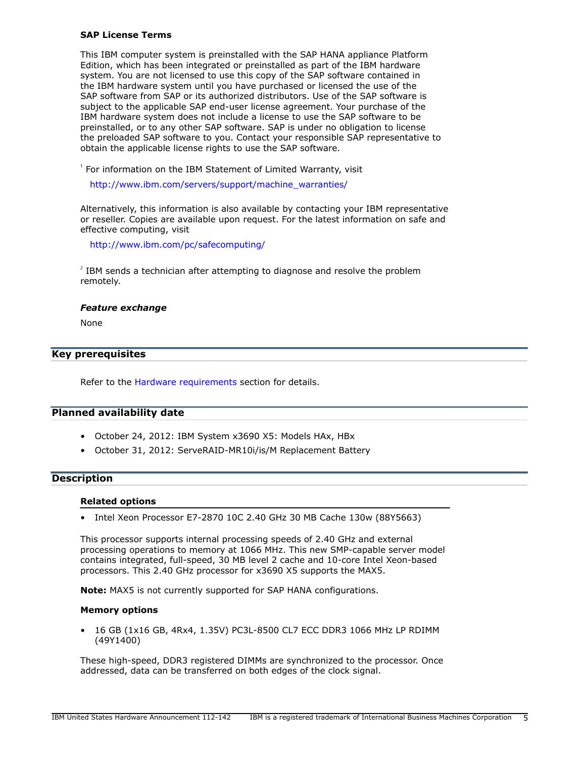#### **SAP License Terms**

This IBM computer system is preinstalled with the SAP HANA appliance Platform Edition, which has been integrated or preinstalled as part of the IBM hardware system. You are not licensed to use this copy of the SAP software contained in the IBM hardware system until you have purchased or licensed the use of the SAP software from SAP or its authorized distributors. Use of the SAP software is subject to the applicable SAP end-user license agreement. Your purchase of the IBM hardware system does not include a license to use the SAP software to be preinstalled, or to any other SAP software. SAP is under no obligation to license the preloaded SAP software to you. Contact your responsible SAP representative to obtain the applicable license rights to use the SAP software.

<sup>1</sup> For information on the IBM Statement of Limited Warranty, visit

[http://www.ibm.com/servers/support/machine\\_warranties/](http://www.ibm.com/servers/support/machine_warranties/)

Alternatively, this information is also available by contacting your IBM representative or reseller. Copies are available upon request. For the latest information on safe and effective computing, visit

<http://www.ibm.com/pc/safecomputing/>

 $2^{2}$  IBM sends a technician after attempting to diagnose and resolve the problem remotely.

#### *Feature exchange*

None

## <span id="page-4-0"></span>**Key prerequisites**

Refer to the [Hardware requirements](#page-17-0) section for details.

## <span id="page-4-1"></span>**Planned availability date**

- October 24, 2012: IBM System x3690 X5: Models HAx, HBx
- October 31, 2012: ServeRAID-MR10i/is/M Replacement Battery

#### <span id="page-4-2"></span>**Description**

#### **Related options**

• Intel Xeon Processor E7-2870 10C 2.40 GHz 30 MB Cache 130w (88Y5663)

This processor supports internal processing speeds of 2.40 GHz and external processing operations to memory at 1066 MHz. This new SMP-capable server model contains integrated, full-speed, 30 MB level 2 cache and 10-core Intel Xeon-based processors. This 2.40 GHz processor for x3690 X5 supports the MAX5.

**Note:** MAX5 is not currently supported for SAP HANA configurations.

#### **Memory options**

• 16 GB (1x16 GB, 4Rx4, 1.35V) PC3L-8500 CL7 ECC DDR3 1066 MHz LP RDIMM (49Y1400)

These high-speed, DDR3 registered DIMMs are synchronized to the processor. Once addressed, data can be transferred on both edges of the clock signal.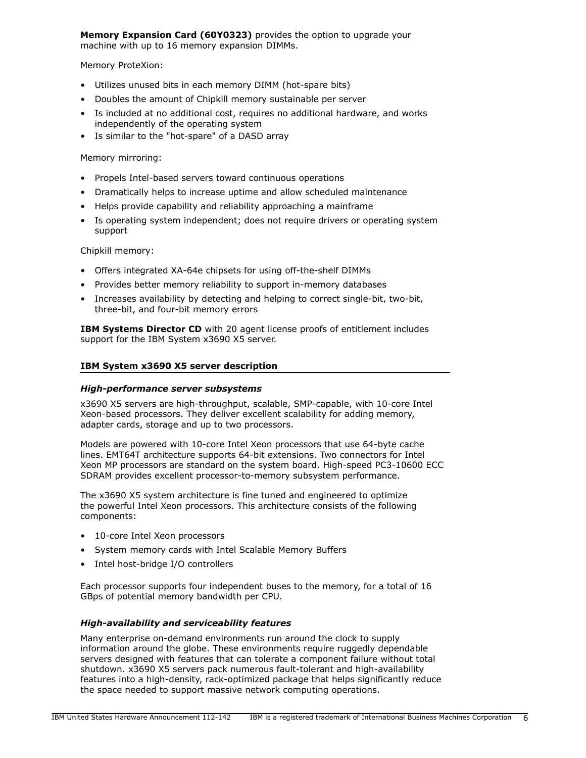**Memory Expansion Card (60Y0323)** provides the option to upgrade your machine with up to 16 memory expansion DIMMs.

Memory ProteXion:

- Utilizes unused bits in each memory DIMM (hot-spare bits)
- Doubles the amount of Chipkill memory sustainable per server
- Is included at no additional cost, requires no additional hardware, and works independently of the operating system
- Is similar to the "hot-spare" of a DASD array

Memory mirroring:

- Propels Intel-based servers toward continuous operations
- Dramatically helps to increase uptime and allow scheduled maintenance
- Helps provide capability and reliability approaching a mainframe
- Is operating system independent; does not require drivers or operating system support

Chipkill memory:

- Offers integrated XA-64e chipsets for using off-the-shelf DIMMs
- Provides better memory reliability to support in-memory databases
- Increases availability by detecting and helping to correct single-bit, two-bit, three-bit, and four-bit memory errors

**IBM Systems Director CD** with 20 agent license proofs of entitlement includes support for the IBM System x3690 X5 server.

## **IBM System x3690 X5 server description**

#### *High-performance server subsystems*

x3690 X5 servers are high-throughput, scalable, SMP-capable, with 10-core Intel Xeon-based processors. They deliver excellent scalability for adding memory, adapter cards, storage and up to two processors.

Models are powered with 10-core Intel Xeon processors that use 64-byte cache lines. EMT64T architecture supports 64-bit extensions. Two connectors for Intel Xeon MP processors are standard on the system board. High-speed PC3-10600 ECC SDRAM provides excellent processor-to-memory subsystem performance.

The x3690 X5 system architecture is fine tuned and engineered to optimize the powerful Intel Xeon processors. This architecture consists of the following components:

- 10-core Intel Xeon processors
- System memory cards with Intel Scalable Memory Buffers
- Intel host-bridge I/O controllers

Each processor supports four independent buses to the memory, for a total of 16 GBps of potential memory bandwidth per CPU.

# *High-availability and serviceability features*

Many enterprise on-demand environments run around the clock to supply information around the globe. These environments require ruggedly dependable servers designed with features that can tolerate a component failure without total shutdown. x3690 X5 servers pack numerous fault-tolerant and high-availability features into a high-density, rack-optimized package that helps significantly reduce the space needed to support massive network computing operations.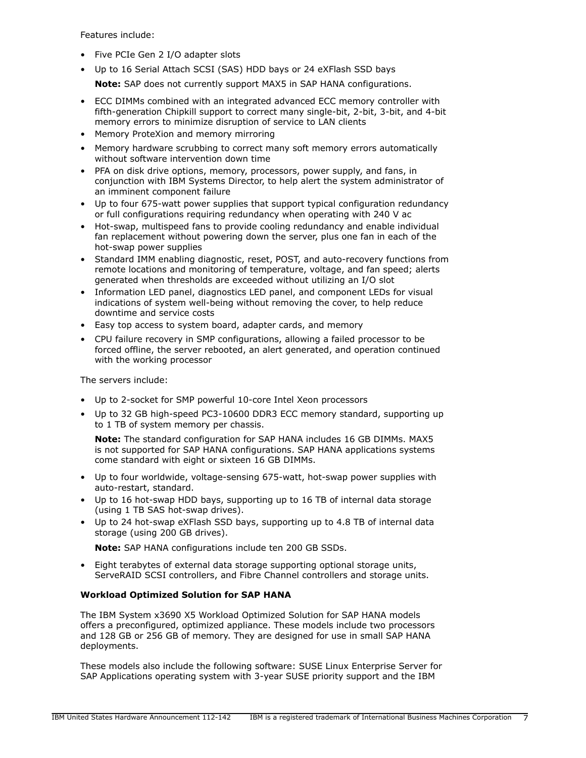Features include:

- Five PCIe Gen 2 I/O adapter slots
- Up to 16 Serial Attach SCSI (SAS) HDD bays or 24 eXFlash SSD bays

**Note:** SAP does not currently support MAX5 in SAP HANA configurations.

- ECC DIMMs combined with an integrated advanced ECC memory controller with fifth-generation Chipkill support to correct many single-bit, 2-bit, 3-bit, and 4-bit memory errors to minimize disruption of service to LAN clients
- Memory ProteXion and memory mirroring
- Memory hardware scrubbing to correct many soft memory errors automatically without software intervention down time
- PFA on disk drive options, memory, processors, power supply, and fans, in conjunction with IBM Systems Director, to help alert the system administrator of an imminent component failure
- Up to four 675-watt power supplies that support typical configuration redundancy or full configurations requiring redundancy when operating with 240 V ac
- Hot-swap, multispeed fans to provide cooling redundancy and enable individual fan replacement without powering down the server, plus one fan in each of the hot-swap power supplies
- Standard IMM enabling diagnostic, reset, POST, and auto-recovery functions from remote locations and monitoring of temperature, voltage, and fan speed; alerts generated when thresholds are exceeded without utilizing an I/O slot
- Information LED panel, diagnostics LED panel, and component LEDs for visual indications of system well-being without removing the cover, to help reduce downtime and service costs
- Easy top access to system board, adapter cards, and memory
- CPU failure recovery in SMP configurations, allowing a failed processor to be forced offline, the server rebooted, an alert generated, and operation continued with the working processor

The servers include:

- Up to 2-socket for SMP powerful 10-core Intel Xeon processors
- Up to 32 GB high-speed PC3-10600 DDR3 ECC memory standard, supporting up to 1 TB of system memory per chassis.

**Note:** The standard configuration for SAP HANA includes 16 GB DIMMs. MAX5 is not supported for SAP HANA configurations. SAP HANA applications systems come standard with eight or sixteen 16 GB DIMMs.

- Up to four worldwide, voltage-sensing 675-watt, hot-swap power supplies with auto-restart, standard.
- Up to 16 hot-swap HDD bays, supporting up to 16 TB of internal data storage (using 1 TB SAS hot-swap drives).
- Up to 24 hot-swap eXFlash SSD bays, supporting up to 4.8 TB of internal data storage (using 200 GB drives).

**Note:** SAP HANA configurations include ten 200 GB SSDs.

• Eight terabytes of external data storage supporting optional storage units, ServeRAID SCSI controllers, and Fibre Channel controllers and storage units.

# **Workload Optimized Solution for SAP HANA**

The IBM System x3690 X5 Workload Optimized Solution for SAP HANA models offers a preconfigured, optimized appliance. These models include two processors and 128 GB or 256 GB of memory. They are designed for use in small SAP HANA deployments.

These models also include the following software: SUSE Linux Enterprise Server for SAP Applications operating system with 3-year SUSE priority support and the IBM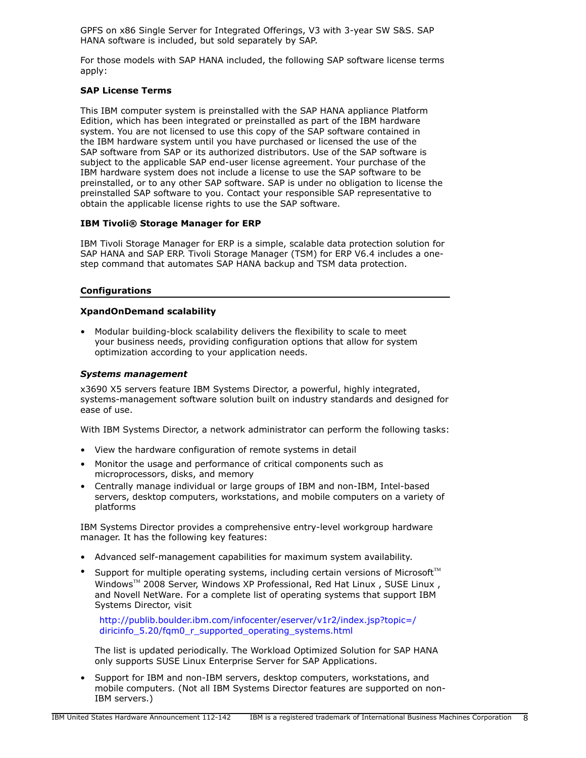GPFS on x86 Single Server for Integrated Offerings, V3 with 3-year SW S&S. SAP HANA software is included, but sold separately by SAP.

For those models with SAP HANA included, the following SAP software license terms apply:

## **SAP License Terms**

This IBM computer system is preinstalled with the SAP HANA appliance Platform Edition, which has been integrated or preinstalled as part of the IBM hardware system. You are not licensed to use this copy of the SAP software contained in the IBM hardware system until you have purchased or licensed the use of the SAP software from SAP or its authorized distributors. Use of the SAP software is subject to the applicable SAP end-user license agreement. Your purchase of the IBM hardware system does not include a license to use the SAP software to be preinstalled, or to any other SAP software. SAP is under no obligation to license the preinstalled SAP software to you. Contact your responsible SAP representative to obtain the applicable license rights to use the SAP software.

# **IBM Tivoli® Storage Manager for ERP**

IBM Tivoli Storage Manager for ERP is a simple, scalable data protection solution for SAP HANA and SAP ERP. Tivoli Storage Manager (TSM) for ERP V6.4 includes a onestep command that automates SAP HANA backup and TSM data protection.

## **Configurations**

## **XpandOnDemand scalability**

• Modular building-block scalability delivers the flexibility to scale to meet your business needs, providing configuration options that allow for system optimization according to your application needs.

## *Systems management*

x3690 X5 servers feature IBM Systems Director, a powerful, highly integrated, systems-management software solution built on industry standards and designed for ease of use.

With IBM Systems Director, a network administrator can perform the following tasks:

- View the hardware configuration of remote systems in detail
- Monitor the usage and performance of critical components such as microprocessors, disks, and memory
- Centrally manage individual or large groups of IBM and non-IBM, Intel-based servers, desktop computers, workstations, and mobile computers on a variety of platforms

IBM Systems Director provides a comprehensive entry-level workgroup hardware manager. It has the following key features:

- Advanced self-management capabilities for maximum system availability.
- Support for multiple operating systems, including certain versions of Microsoft<sup> $M$ </sup> Windows™ 2008 Server, Windows XP Professional, Red Hat Linux , SUSE Linux , and Novell NetWare. For a complete list of operating systems that support IBM Systems Director, visit

[http://publib.boulder.ibm.com/infocenter/eserver/v1r2/index.jsp?topic=/](http://publib.boulder.ibm.com/infocenter/eserver/v1r2/index.jsp?topic=/diricinfo_5.20/fqm0_r_supported_operating_systems.html) [diricinfo\\_5.20/fqm0\\_r\\_supported\\_operating\\_systems.html](http://publib.boulder.ibm.com/infocenter/eserver/v1r2/index.jsp?topic=/diricinfo_5.20/fqm0_r_supported_operating_systems.html)

The list is updated periodically. The Workload Optimized Solution for SAP HANA only supports SUSE Linux Enterprise Server for SAP Applications.

• Support for IBM and non-IBM servers, desktop computers, workstations, and mobile computers. (Not all IBM Systems Director features are supported on non-IBM servers.)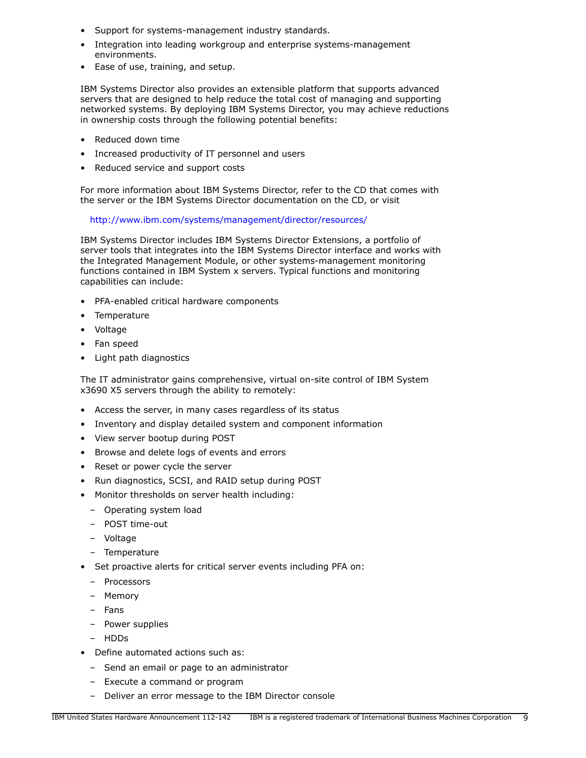- Support for systems-management industry standards.
- Integration into leading workgroup and enterprise systems-management environments.
- Ease of use, training, and setup.

IBM Systems Director also provides an extensible platform that supports advanced servers that are designed to help reduce the total cost of managing and supporting networked systems. By deploying IBM Systems Director, you may achieve reductions in ownership costs through the following potential benefits:

- Reduced down time
- Increased productivity of IT personnel and users
- Reduced service and support costs

For more information about IBM Systems Director, refer to the CD that comes with the server or the IBM Systems Director documentation on the CD, or visit

<http://www.ibm.com/systems/management/director/resources/>

IBM Systems Director includes IBM Systems Director Extensions, a portfolio of server tools that integrates into the IBM Systems Director interface and works with the Integrated Management Module, or other systems-management monitoring functions contained in IBM System x servers. Typical functions and monitoring capabilities can include:

- PFA-enabled critical hardware components
- Temperature
- Voltage
- Fan speed
- Light path diagnostics

The IT administrator gains comprehensive, virtual on-site control of IBM System x3690 X5 servers through the ability to remotely:

- Access the server, in many cases regardless of its status
- Inventory and display detailed system and component information
- View server bootup during POST
- Browse and delete logs of events and errors
- Reset or power cycle the server
- Run diagnostics, SCSI, and RAID setup during POST
- Monitor thresholds on server health including:
	- Operating system load
	- POST time-out
	- Voltage
	- Temperature
- Set proactive alerts for critical server events including PFA on:
	- Processors
	- Memory
	- Fans
	- Power supplies
	- HDDs
- Define automated actions such as:
	- Send an email or page to an administrator
	- Execute a command or program
	- Deliver an error message to the IBM Director console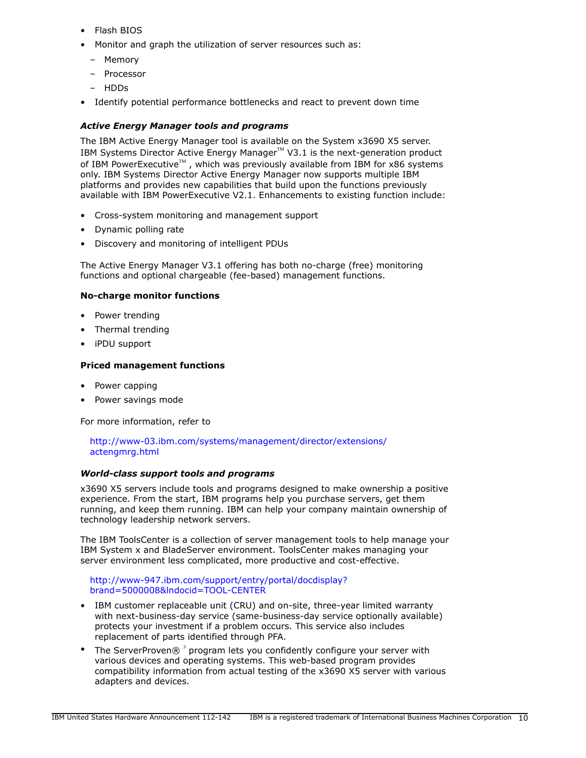- Flash BIOS
- Monitor and graph the utilization of server resources such as:
	- Memory
	- Processor
	- HDDs
- Identify potential performance bottlenecks and react to prevent down time

# *Active Energy Manager tools and programs*

The IBM Active Energy Manager tool is available on the System x3690 X5 server. IBM Systems Director Active Energy Manager $TM$  V3.1 is the next-generation product of IBM PowerExecutive<sup>™</sup>, which was previously available from IBM for x86 systems only. IBM Systems Director Active Energy Manager now supports multiple IBM platforms and provides new capabilities that build upon the functions previously available with IBM PowerExecutive V2.1. Enhancements to existing function include:

- Cross-system monitoring and management support
- Dynamic polling rate
- Discovery and monitoring of intelligent PDUs

The Active Energy Manager V3.1 offering has both no-charge (free) monitoring functions and optional chargeable (fee-based) management functions.

# **No-charge monitor functions**

- Power trending
- Thermal trending
- iPDU support

# **Priced management functions**

- Power capping
- Power savings mode

For more information, refer to

[http://www-03.ibm.com/systems/management/director/extensions/](http://www-03.ibm.com/systems/management/director/extensions/actengmrg.html) [actengmrg.html](http://www-03.ibm.com/systems/management/director/extensions/actengmrg.html)

# *World-class support tools and programs*

x3690 X5 servers include tools and programs designed to make ownership a positive experience. From the start, IBM programs help you purchase servers, get them running, and keep them running. IBM can help your company maintain ownership of technology leadership network servers.

The IBM ToolsCenter is a collection of server management tools to help manage your IBM System x and BladeServer environment. ToolsCenter makes managing your server environment less complicated, more productive and cost-effective.

#### [http://www-947.ibm.com/support/entry/portal/docdisplay?](http://www-947.ibm.com/support/entry/portal/docdisplay?brand=5000008&lndocid=TOOL-CENTER) [brand=5000008&lndocid=TOOL-CENTER](http://www-947.ibm.com/support/entry/portal/docdisplay?brand=5000008&lndocid=TOOL-CENTER)

- IBM customer replaceable unit (CRU) and on-site, three-year limited warranty with next-business-day service (same-business-day service optionally available) protects your investment if a problem occurs. This service also includes replacement of parts identified through PFA.
- The ServerProven $@$ <sup>3</sup> program lets you confidently configure your server with various devices and operating systems. This web-based program provides compatibility information from actual testing of the x3690 X5 server with various adapters and devices.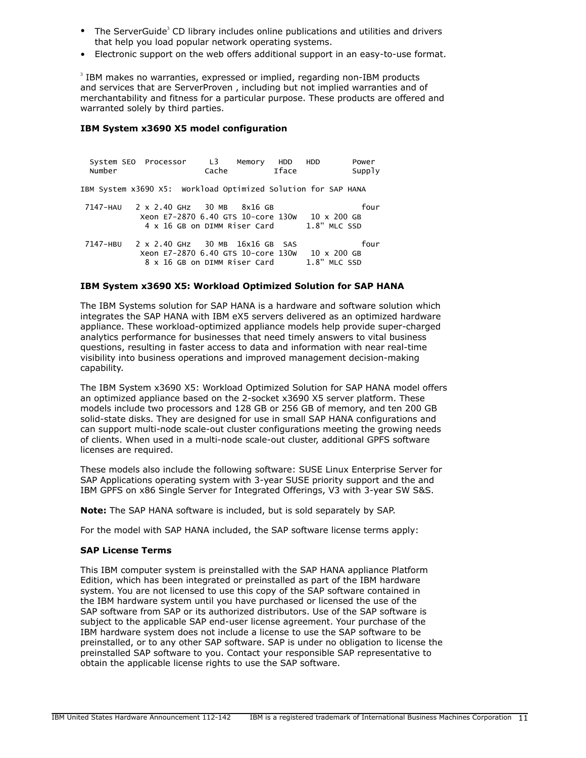- The ServerGuide<sup>3</sup> CD library includes online publications and utilities and drivers that help you load popular network operating systems.
- Electronic support on the web offers additional support in an easy-to-use format.

 $3$  IBM makes no warranties, expressed or implied, regarding non-IBM products and services that are ServerProven , including but not implied warranties and of merchantability and fitness for a particular purpose. These products are offered and warranted solely by third parties.

## **IBM System x3690 X5 model configuration**

System SEO Processor L3 Memory HDD HDD Power Number Cache Iface Supply IBM System x3690 X5: Workload Optimized Solution for SAP HANA 7147-HAU 2 x 2.40 GHz 30 MB 8x16 GB four Xeon E7-2870 6.40 GTS 10-core 130W 10 x 200 GB 4 x 16 GB on DIMM Riser Card 7147-HBU 2 x 2.40 GHz 30 MB 16x16 GB SAS four Xeon E7-2870 6.40 GTS 10-core 130W 10 x 200 GB 8 x 16 GB on DIMM Riser Card

## **IBM System x3690 X5: Workload Optimized Solution for SAP HANA**

The IBM Systems solution for SAP HANA is a hardware and software solution which integrates the SAP HANA with IBM eX5 servers delivered as an optimized hardware appliance. These workload-optimized appliance models help provide super-charged analytics performance for businesses that need timely answers to vital business questions, resulting in faster access to data and information with near real-time visibility into business operations and improved management decision-making capability.

The IBM System x3690 X5: Workload Optimized Solution for SAP HANA model offers an optimized appliance based on the 2-socket x3690 X5 server platform. These models include two processors and 128 GB or 256 GB of memory, and ten 200 GB solid-state disks. They are designed for use in small SAP HANA configurations and can support multi-node scale-out cluster configurations meeting the growing needs of clients. When used in a multi-node scale-out cluster, additional GPFS software licenses are required.

These models also include the following software: SUSE Linux Enterprise Server for SAP Applications operating system with 3-year SUSE priority support and the and IBM GPFS on x86 Single Server for Integrated Offerings, V3 with 3-year SW S&S.

**Note:** The SAP HANA software is included, but is sold separately by SAP.

For the model with SAP HANA included, the SAP software license terms apply:

#### **SAP License Terms**

This IBM computer system is preinstalled with the SAP HANA appliance Platform Edition, which has been integrated or preinstalled as part of the IBM hardware system. You are not licensed to use this copy of the SAP software contained in the IBM hardware system until you have purchased or licensed the use of the SAP software from SAP or its authorized distributors. Use of the SAP software is subject to the applicable SAP end-user license agreement. Your purchase of the IBM hardware system does not include a license to use the SAP software to be preinstalled, or to any other SAP software. SAP is under no obligation to license the preinstalled SAP software to you. Contact your responsible SAP representative to obtain the applicable license rights to use the SAP software.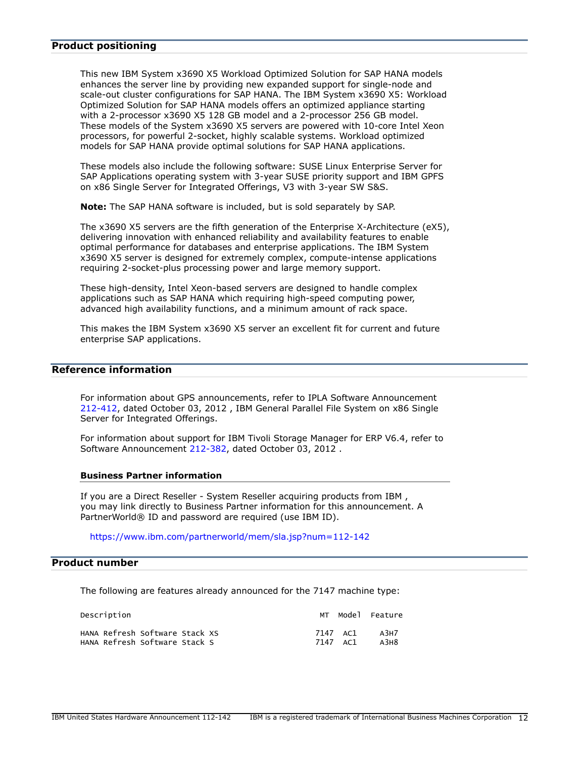## <span id="page-11-0"></span>**Product positioning**

This new IBM System x3690 X5 Workload Optimized Solution for SAP HANA models enhances the server line by providing new expanded support for single-node and scale-out cluster configurations for SAP HANA. The IBM System x3690 X5: Workload Optimized Solution for SAP HANA models offers an optimized appliance starting with a 2-processor x3690 X5 128 GB model and a 2-processor 256 GB model. These models of the System x3690 X5 servers are powered with 10-core Intel Xeon processors, for powerful 2-socket, highly scalable systems. Workload optimized models for SAP HANA provide optimal solutions for SAP HANA applications.

These models also include the following software: SUSE Linux Enterprise Server for SAP Applications operating system with 3-year SUSE priority support and IBM GPFS on x86 Single Server for Integrated Offerings, V3 with 3-year SW S&S.

**Note:** The SAP HANA software is included, but is sold separately by SAP.

The x3690 X5 servers are the fifth generation of the Enterprise X-Architecture (eX5), delivering innovation with enhanced reliability and availability features to enable optimal performance for databases and enterprise applications. The IBM System x3690 X5 server is designed for extremely complex, compute-intense applications requiring 2-socket-plus processing power and large memory support.

These high-density, Intel Xeon-based servers are designed to handle complex applications such as SAP HANA which requiring high-speed computing power, advanced high availability functions, and a minimum amount of rack space.

This makes the IBM System x3690 X5 server an excellent fit for current and future enterprise SAP applications.

# **Reference information**

For information about GPS announcements, refer to IPLA Software Announcement [212-412](http://www.ibm.com/common/ssi/cgi-bin/ssialias?infotype=an&subtype=ca&appname=gpateam&supplier=897&letternum=ENUS212-412), dated October 03, 2012 , IBM General Parallel File System on x86 Single Server for Integrated Offerings.

For information about support for IBM Tivoli Storage Manager for ERP V6.4, refer to Software Announcement [212-382,](http://www.ibm.com/common/ssi/cgi-bin/ssialias?infotype=an&subtype=ca&appname=gpateam&supplier=897&letternum=ENUS212-382) dated October 03, 2012 .

#### **Business Partner information**

If you are a Direct Reseller - System Reseller acquiring products from IBM , you may link directly to Business Partner information for this announcement. A PartnerWorld® ID and password are required (use IBM ID).

<https://www.ibm.com/partnerworld/mem/sla.jsp?num=112-142>

# <span id="page-11-1"></span>**Product number**

The following are features already announced for the 7147 machine type:

| Description                    |          | Model Feature |
|--------------------------------|----------|---------------|
| HANA Refresh Software Stack XS | 7147 AC1 | A3H7          |
| HANA Refresh Software Stack S  | 7147 AC1 | A3H8          |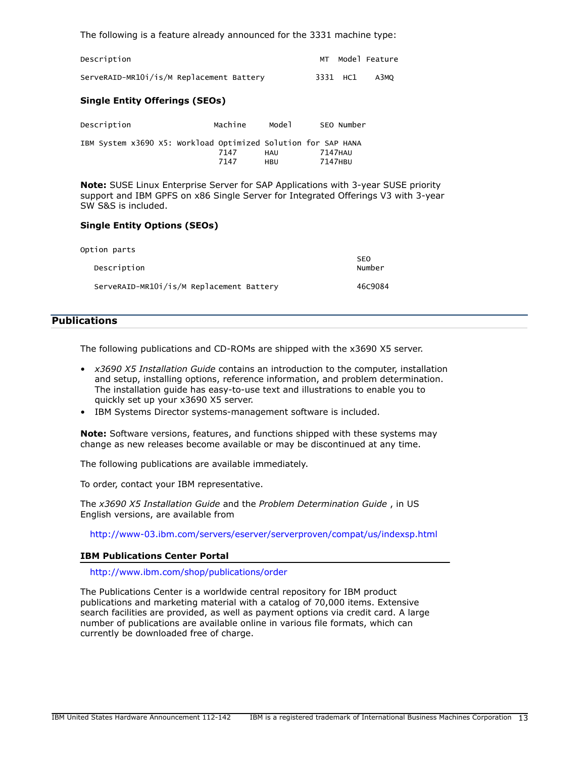The following is a feature already announced for the 3331 machine type:

| Description                              |          | MT Model Feature |
|------------------------------------------|----------|------------------|
| ServeRAID-MR10i/is/M Replacement Battery | 3331 HC1 | АЗМО             |

## **Single Entity Offerings (SEOs)**

| Description                                                   | Machine | Model | SEO Number |
|---------------------------------------------------------------|---------|-------|------------|
| IBM System x3690 X5: Workload Optimized Solution for SAP HANA | 7147    | HAU   | 7147HAU    |
|                                                               | 7147    | HRU   | 7147HBU    |

**Note:** SUSE Linux Enterprise Server for SAP Applications with 3-year SUSE priority support and IBM GPFS on x86 Single Server for Integrated Offerings V3 with 3-year SW S&S is included.

## **Single Entity Options (SEOs)**

| Option parts                             |                      |
|------------------------------------------|----------------------|
| Description                              | <b>SEO</b><br>Number |
| ServeRAID-MR101/is/M Replacement Battery | 46C9084              |

# <span id="page-12-0"></span>**Publications**

The following publications and CD-ROMs are shipped with the x3690 X5 server.

- *x3690 X5 Installation Guide* contains an introduction to the computer, installation and setup, installing options, reference information, and problem determination. The installation guide has easy-to-use text and illustrations to enable you to quickly set up your x3690 X5 server.
- IBM Systems Director systems-management software is included.

**Note:** Software versions, features, and functions shipped with these systems may change as new releases become available or may be discontinued at any time.

The following publications are available immediately.

To order, contact your IBM representative.

The *x3690 X5 Installation Guide* and the *Problem Determination Guide* , in US English versions, are available from

<http://www-03.ibm.com/servers/eserver/serverproven/compat/us/indexsp.html>

#### **IBM Publications Center Portal**

<http://www.ibm.com/shop/publications/order>

The Publications Center is a worldwide central repository for IBM product publications and marketing material with a catalog of 70,000 items. Extensive search facilities are provided, as well as payment options via credit card. A large number of publications are available online in various file formats, which can currently be downloaded free of charge.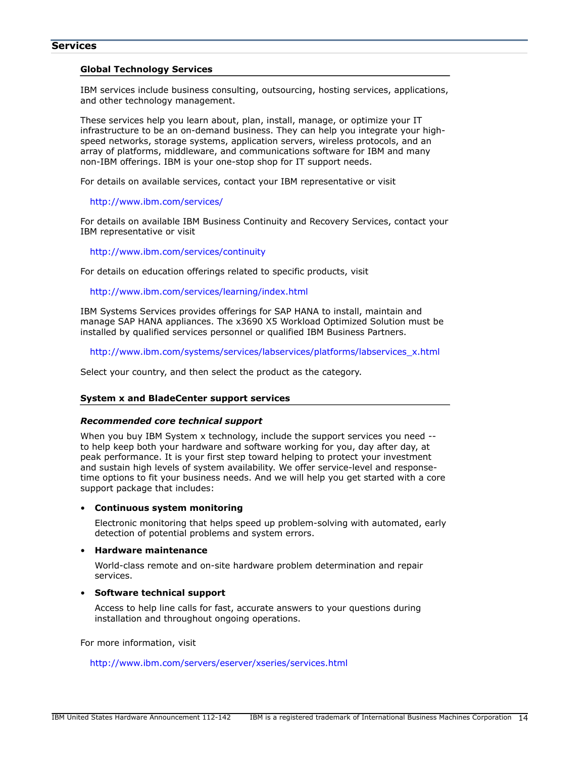## **Services**

#### **Global Technology Services**

IBM services include business consulting, outsourcing, hosting services, applications, and other technology management.

These services help you learn about, plan, install, manage, or optimize your IT infrastructure to be an on-demand business. They can help you integrate your highspeed networks, storage systems, application servers, wireless protocols, and an array of platforms, middleware, and communications software for IBM and many non-IBM offerings. IBM is your one-stop shop for IT support needs.

For details on available services, contact your IBM representative or visit

#### <http://www.ibm.com/services/>

For details on available IBM Business Continuity and Recovery Services, contact your IBM representative or visit

#### <http://www.ibm.com/services/continuity>

For details on education offerings related to specific products, visit

#### <http://www.ibm.com/services/learning/index.html>

IBM Systems Services provides offerings for SAP HANA to install, maintain and manage SAP HANA appliances. The x3690 X5 Workload Optimized Solution must be installed by qualified services personnel or qualified IBM Business Partners.

[http://www.ibm.com/systems/services/labservices/platforms/labservices\\_x.html](http://www.ibm.com/systems/services/labservices/platforms/labservices_x.html)

Select your country, and then select the product as the category.

#### **System x and BladeCenter support services**

#### *Recommended core technical support*

When you buy IBM System x technology, include the support services you need - to help keep both your hardware and software working for you, day after day, at peak performance. It is your first step toward helping to protect your investment and sustain high levels of system availability. We offer service-level and responsetime options to fit your business needs. And we will help you get started with a core support package that includes:

#### • **Continuous system monitoring**

Electronic monitoring that helps speed up problem-solving with automated, early detection of potential problems and system errors.

#### • **Hardware maintenance**

World-class remote and on-site hardware problem determination and repair services.

#### • **Software technical support**

Access to help line calls for fast, accurate answers to your questions during installation and throughout ongoing operations.

For more information, visit

## <http://www.ibm.com/servers/eserver/xseries/services.html>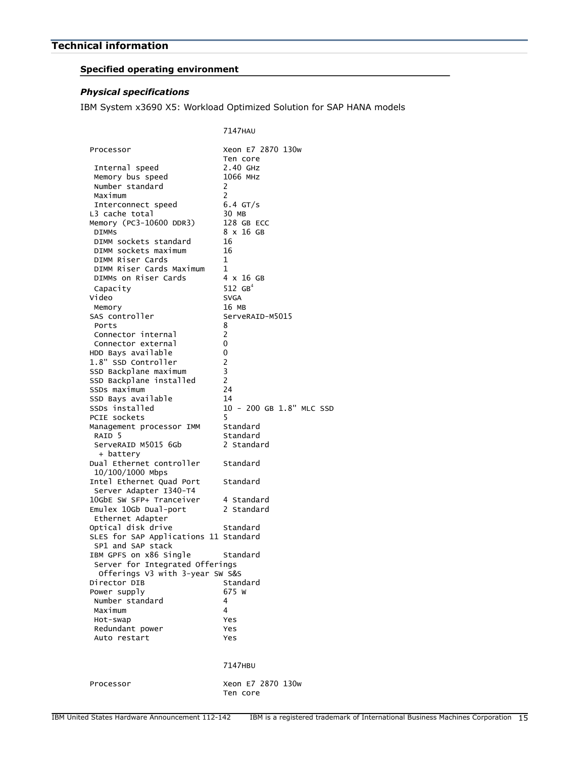# <span id="page-14-0"></span>**Specified operating environment**

# *Physical specifications*

IBM System x3690 X5: Workload Optimized Solution for SAP HANA models

|                                                           | 7147HAU                       |
|-----------------------------------------------------------|-------------------------------|
| Processor                                                 | Xeon E7 2870 130w<br>Ten core |
| Internal speed                                            | 2.40 GHZ                      |
| Memory bus speed                                          | 1066 MHZ                      |
| Number standard                                           | 2                             |
| Maximum                                                   | $\overline{2}$                |
| Interconnect speed                                        | $6.4$ GT/s                    |
| L3 cache total<br>Memory (PC3-10600 DDR3)                 | 30 MB<br>128 GB ECC           |
| <b>DIMMS</b>                                              | 8 x 16 GB                     |
| DIMM sockets standard                                     | 16                            |
| DIMM sockets maximum                                      | 16                            |
| DIMM Riser Cards                                          | 1                             |
| DIMM Riser Cards Maximum                                  | $\mathbf 1$                   |
| DIMMs on Riser Cards                                      | 4 x 16 GB                     |
| Capacity                                                  | 512 $GB4$                     |
| Video                                                     | <b>SVGA</b>                   |
| Memory                                                    | 16 MB                         |
| SAS controller                                            | ServeRAID-M5015               |
| Ports                                                     | 8                             |
| Connector internal                                        | 2                             |
| Connector external                                        | 0                             |
| HDD Bays available                                        | 0                             |
| 1.8" SSD Controller<br>SSD Backplane maximum              | 2<br>3                        |
| SSD Backplane installed                                   | $\overline{2}$                |
| SSDs maximum                                              | 24                            |
| SSD Bays available                                        | 14                            |
| SSDs installed                                            | 10 - 200 GB 1.8" MLC SSD      |
| PCIE sockets                                              | 5                             |
| Management processor IMM                                  | Standard                      |
| RAID <sub>5</sub>                                         | Standard                      |
| ServeRAID M5015 6Gb                                       | 2 Standard                    |
| + battery                                                 |                               |
| Dual Ethernet controller<br>10/100/1000 Mbps              | Standard                      |
| Intel Ethernet Quad Port                                  | Standard                      |
| Server Adapter I340-T4                                    |                               |
| 10GbE SW SFP+ Tranceiver                                  | 4 Standard                    |
| Emulex 10Gb Dual-port                                     | 2 Standard                    |
| Ethernet Adapter                                          |                               |
| Optical disk drive                                        | Standard                      |
| SLES for SAP Applications 11 Standard                     |                               |
| SP1 and SAP stack                                         |                               |
| IBM GPFS on x86 Single<br>Server for Integrated Offerings | Standard                      |
| Offerings V3 with 3-year SW S&S                           |                               |
| Director DIB                                              | Standard                      |
| Power supply                                              | 675 W                         |
| Number standard                                           | 4                             |
| Maximum                                                   | 4                             |
| Hot-swap                                                  | Yes                           |
| Redundant power                                           | Yes                           |
| Auto restart                                              | Yes                           |
|                                                           |                               |
|                                                           | 7147HBU                       |
|                                                           |                               |
| Processor                                                 | Xeon E7 2870 130w             |
|                                                           | Ten core                      |
|                                                           |                               |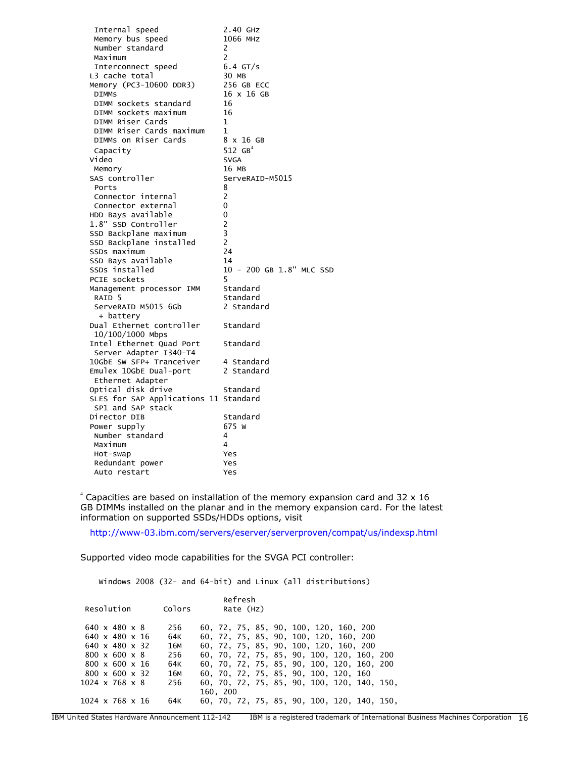| Internal speed                                     | 2.40 GHZ                 |
|----------------------------------------------------|--------------------------|
| Memory bus speed                                   | 1066 MHZ                 |
| Number standard                                    | 2                        |
| Maximum                                            | 2                        |
| Interconnect speed                                 | $6.4$ GT/s               |
| L3 cache total                                     | 30 MB                    |
| Memory (PC3-10600 DDR3)                            | 256 GB ECC               |
| <b>DIMMS</b>                                       | 16 x 16 GB               |
| DIMM sockets standard                              | 16                       |
| DIMM sockets maximum                               | 16                       |
| DIMM Riser Cards                                   | 1                        |
| DIMM Riser Cards maximum                           | $\mathbf{1}$             |
| DIMMS on Riser Cards                               | 8 x 16 GB                |
| Capacity                                           | 512 $GB^4$               |
| Video                                              | <b>SVGA</b>              |
| Memory                                             | 16 MB                    |
| SAS controller                                     | ServeRAID-M5015          |
| Ports                                              | 8                        |
| Connector internal                                 | 2                        |
| Connector external                                 | 0                        |
| HDD Bays available                                 | 0                        |
| 1.8" SSD Controller                                | $\overline{c}$           |
| SSD Backplane maximum                              | 3                        |
| SSD Backplane installed                            | $\overline{c}$           |
| SSDs maximum                                       | 24                       |
| SSD Bays available                                 | 14                       |
| SSDs installed                                     | 10 - 200 GB 1.8" MLC SSD |
| PCIE sockets                                       | 5                        |
| Management processor IMM                           | Standard                 |
| RAID 5                                             | Standard                 |
| ServeRAID M5015 6Gb                                | 2 Standard               |
| + battery                                          |                          |
| Dual Ethernet controller                           | Standard                 |
| 10/100/1000 Mbps                                   |                          |
| Intel Ethernet Quad Port                           | Standard                 |
| Server Adapter I340-T4<br>10GbE SW SFP+ Tranceiver | 4 Standard               |
| Emulex 10GbE Dual-port                             | 2 Standard               |
| Ethernet Adapter                                   |                          |
| Optical disk drive                                 | Standard                 |
| SLES for SAP Applications 11 Standard              |                          |
| SP1 and SAP stack                                  |                          |
| Director DIB                                       | Standard                 |
| Power supply                                       | 675 W                    |
| Number standard                                    | 4                        |
| Maximum                                            | 4                        |
| Hot-swap                                           | Yes                      |
| Redundant power                                    | Yes                      |
| Auto restart                                       | Yes                      |
|                                                    |                          |

 $4$  Capacities are based on installation of the memory expansion card and 32 x 16 GB DIMMs installed on the planar and in the memory expansion card. For the latest information on supported SSDs/HDDs options, visit

<http://www-03.ibm.com/servers/eserver/serverproven/compat/us/indexsp.html>

Supported video mode capabilities for the SVGA PCI controller:

Windows 2008 (32- and 64-bit) and Linux (all distributions)

| Resolution                  | Colors |          | Refresh<br>Rate (Hz) |                                             |  |
|-----------------------------|--------|----------|----------------------|---------------------------------------------|--|
| $640 \times 480 \times 8$   | 256    |          |                      | 60, 72, 75, 85, 90, 100, 120, 160, 200      |  |
| $640 \times 480 \times 16$  | 64K    |          |                      | 60, 72, 75, 85, 90, 100, 120, 160, 200      |  |
| $640 \times 480 \times 32$  | 16M    |          |                      | 60, 72, 75, 85, 90, 100, 120, 160, 200      |  |
| $800 \times 600 \times 8$   | 256    |          |                      | 60, 70, 72, 75, 85, 90, 100, 120, 160, 200  |  |
| $800 \times 600 \times 16$  | 64K    |          |                      | 60, 70, 72, 75, 85, 90, 100, 120, 160, 200  |  |
| $800 \times 600 \times 32$  | 16M    |          |                      | 60, 70, 72, 75, 85, 90, 100, 120, 160       |  |
| $1024 \times 768 \times 8$  | 256    |          |                      | 60, 70, 72, 75, 85, 90, 100, 120, 140, 150, |  |
|                             |        | 160, 200 |                      |                                             |  |
| $1024 \times 768 \times 16$ | 64K    |          |                      | 60, 70, 72, 75, 85, 90, 100, 120, 140, 150, |  |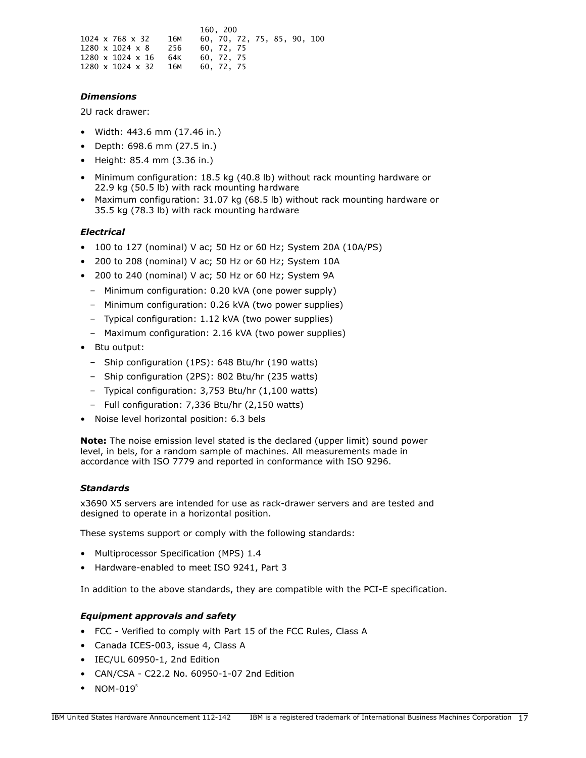|  |                              |     | 160.200    |            |                             |  |  |
|--|------------------------------|-----|------------|------------|-----------------------------|--|--|
|  | $1024 \times 768 \times 32$  | 16м |            |            | 60, 70, 72, 75, 85, 90, 100 |  |  |
|  | $1280 \times 1024 \times 8$  | 256 | 60. 72. 75 |            |                             |  |  |
|  | $1280 \times 1024 \times 16$ | 64K |            | 60. 72. 75 |                             |  |  |
|  | $1280 \times 1024 \times 32$ | 16м | 60. 72. 75 |            |                             |  |  |

# *Dimensions*

2U rack drawer:

- Width: 443.6 mm (17.46 in.)
- Depth: 698.6 mm (27.5 in.)
- Height: 85.4 mm (3.36 in.)
- Minimum configuration: 18.5 kg (40.8 lb) without rack mounting hardware or 22.9 kg (50.5 lb) with rack mounting hardware
- Maximum configuration: 31.07 kg (68.5 lb) without rack mounting hardware or 35.5 kg (78.3 lb) with rack mounting hardware

# *Electrical*

- 100 to 127 (nominal) V ac; 50 Hz or 60 Hz; System 20A (10A/PS)
- 200 to 208 (nominal) V ac; 50 Hz or 60 Hz; System 10A
- 200 to 240 (nominal) V ac; 50 Hz or 60 Hz; System 9A
	- Minimum configuration: 0.20 kVA (one power supply)
	- Minimum configuration: 0.26 kVA (two power supplies)
	- Typical configuration: 1.12 kVA (two power supplies)
	- Maximum configuration: 2.16 kVA (two power supplies)
- Btu output:
	- Ship configuration (1PS): 648 Btu/hr (190 watts)
	- Ship configuration (2PS): 802 Btu/hr (235 watts)
	- Typical configuration: 3,753 Btu/hr (1,100 watts)
	- Full configuration: 7,336 Btu/hr (2,150 watts)
- Noise level horizontal position: 6.3 bels

**Note:** The noise emission level stated is the declared (upper limit) sound power level, in bels, for a random sample of machines. All measurements made in accordance with ISO 7779 and reported in conformance with ISO 9296.

# *Standards*

x3690 X5 servers are intended for use as rack-drawer servers and are tested and designed to operate in a horizontal position.

These systems support or comply with the following standards:

- Multiprocessor Specification (MPS) 1.4
- Hardware-enabled to meet ISO 9241, Part 3

In addition to the above standards, they are compatible with the PCI-E specification.

# *Equipment approvals and safety*

- FCC Verified to comply with Part 15 of the FCC Rules, Class A
- Canada ICES-003, issue 4, Class A
- IEC/UL 60950-1, 2nd Edition
- CAN/CSA C22.2 No. 60950-1-07 2nd Edition
- NOM-019 $<sup>5</sup>$ </sup>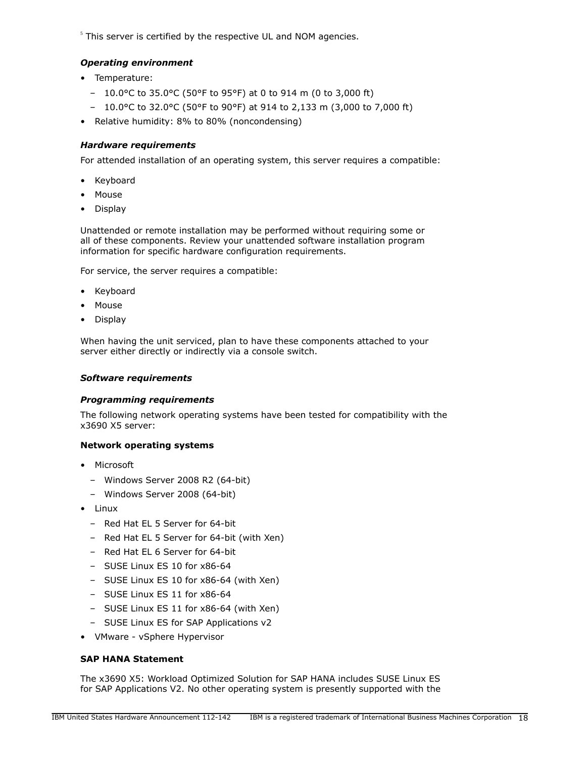$<sup>5</sup>$  This server is certified by the respective UL and NOM agencies.</sup>

# *Operating environment*

- Temperature:
	- 10.0°C to 35.0°C (50°F to 95°F) at 0 to 914 m (0 to 3,000 ft)
	- 10.0°C to 32.0°C (50°F to 90°F) at 914 to 2,133 m (3,000 to 7,000 ft)
- Relative humidity: 8% to 80% (noncondensing)

# <span id="page-17-0"></span>*Hardware requirements*

For attended installation of an operating system, this server requires a compatible:

- Keyboard
- Mouse
- Display

Unattended or remote installation may be performed without requiring some or all of these components. Review your unattended software installation program information for specific hardware configuration requirements.

For service, the server requires a compatible:

- Keyboard
- Mouse
- Display

When having the unit serviced, plan to have these components attached to your server either directly or indirectly via a console switch.

## *Software requirements*

# *Programming requirements*

The following network operating systems have been tested for compatibility with the x3690 X5 server:

# **Network operating systems**

- Microsoft
	- Windows Server 2008 R2 (64-bit)
	- Windows Server 2008 (64-bit)
- Linux
	- Red Hat EL 5 Server for 64-bit
	- Red Hat EL 5 Server for 64-bit (with Xen)
	- Red Hat EL 6 Server for 64-bit
	- SUSE Linux ES 10 for x86-64
	- SUSE Linux ES 10 for x86-64 (with Xen)
	- SUSE Linux ES 11 for x86-64
	- SUSE Linux ES 11 for x86-64 (with Xen)
	- SUSE Linux ES for SAP Applications v2
- VMware vSphere Hypervisor

# **SAP HANA Statement**

The x3690 X5: Workload Optimized Solution for SAP HANA includes SUSE Linux ES for SAP Applications V2. No other operating system is presently supported with the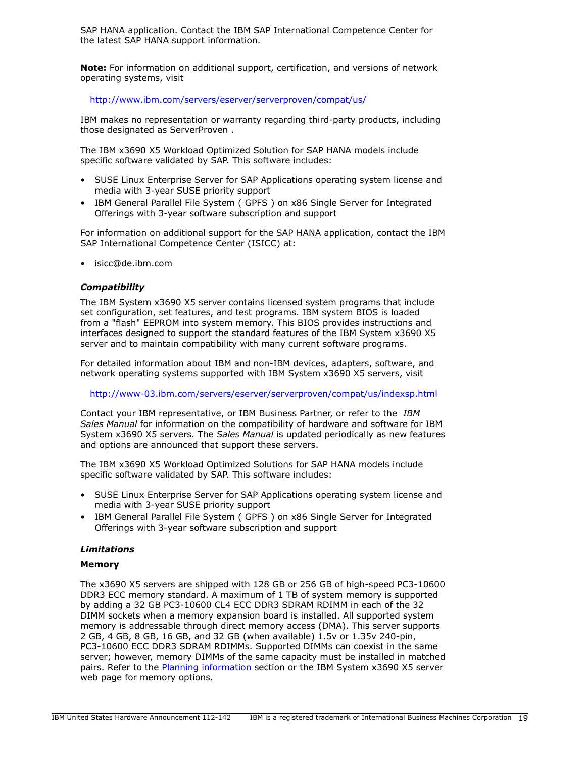SAP HANA application. Contact the IBM SAP International Competence Center for the latest SAP HANA support information.

**Note:** For information on additional support, certification, and versions of network operating systems, visit

<http://www.ibm.com/servers/eserver/serverproven/compat/us/>

IBM makes no representation or warranty regarding third-party products, including those designated as ServerProven .

The IBM x3690 X5 Workload Optimized Solution for SAP HANA models include specific software validated by SAP. This software includes:

- SUSE Linux Enterprise Server for SAP Applications operating system license and media with 3-year SUSE priority support
- IBM General Parallel File System ( GPFS ) on x86 Single Server for Integrated Offerings with 3-year software subscription and support

For information on additional support for the SAP HANA application, contact the IBM SAP International Competence Center (ISICC) at:

• isicc@de.ibm.com

## *Compatibility*

The IBM System x3690 X5 server contains licensed system programs that include set configuration, set features, and test programs. IBM system BIOS is loaded from a "flash" EEPROM into system memory. This BIOS provides instructions and interfaces designed to support the standard features of the IBM System x3690 X5 server and to maintain compatibility with many current software programs.

For detailed information about IBM and non-IBM devices, adapters, software, and network operating systems supported with IBM System x3690 X5 servers, visit

#### <http://www-03.ibm.com/servers/eserver/serverproven/compat/us/indexsp.html>

Contact your IBM representative, or IBM Business Partner, or refer to the *IBM Sales Manual* for information on the compatibility of hardware and software for IBM System x3690 X5 servers. The *Sales Manual* is updated periodically as new features and options are announced that support these servers.

The IBM x3690 X5 Workload Optimized Solutions for SAP HANA models include specific software validated by SAP. This software includes:

- SUSE Linux Enterprise Server for SAP Applications operating system license and media with 3-year SUSE priority support
- IBM General Parallel File System ( GPFS ) on x86 Single Server for Integrated Offerings with 3-year software subscription and support

#### *Limitations*

#### **Memory**

The x3690 X5 servers are shipped with 128 GB or 256 GB of high-speed PC3-10600 DDR3 ECC memory standard. A maximum of 1 TB of system memory is supported by adding a 32 GB PC3-10600 CL4 ECC DDR3 SDRAM RDIMM in each of the 32 DIMM sockets when a memory expansion board is installed. All supported system memory is addressable through direct memory access (DMA). This server supports 2 GB, 4 GB, 8 GB, 16 GB, and 32 GB (when available) 1.5v or 1.35v 240-pin, PC3-10600 ECC DDR3 SDRAM RDIMMs. Supported DIMMs can coexist in the same server; however, memory DIMMs of the same capacity must be installed in matched pairs. Refer to the [Planning information](#page-19-0) section or the IBM System x3690 X5 server web page for memory options.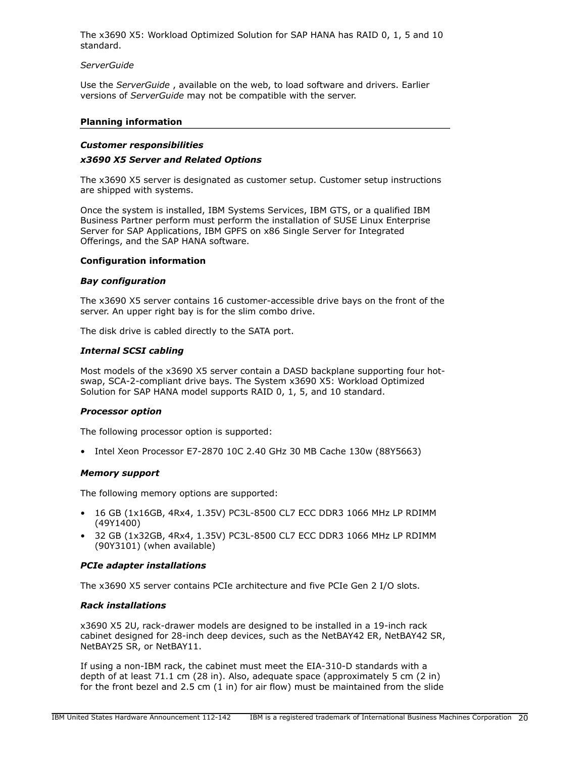The x3690 X5: Workload Optimized Solution for SAP HANA has RAID 0, 1, 5 and 10 standard.

#### *ServerGuide*

Use the *ServerGuide* , available on the web, to load software and drivers. Earlier versions of *ServerGuide* may not be compatible with the server.

#### <span id="page-19-0"></span>**Planning information**

#### *Customer responsibilities*

#### *x3690 X5 Server and Related Options*

The x3690 X5 server is designated as customer setup. Customer setup instructions are shipped with systems.

Once the system is installed, IBM Systems Services, IBM GTS, or a qualified IBM Business Partner perform must perform the installation of SUSE Linux Enterprise Server for SAP Applications, IBM GPFS on x86 Single Server for Integrated Offerings, and the SAP HANA software.

#### **Configuration information**

#### *Bay configuration*

The x3690 X5 server contains 16 customer-accessible drive bays on the front of the server. An upper right bay is for the slim combo drive.

The disk drive is cabled directly to the SATA port.

#### *Internal SCSI cabling*

Most models of the x3690 X5 server contain a DASD backplane supporting four hotswap, SCA-2-compliant drive bays. The System x3690 X5: Workload Optimized Solution for SAP HANA model supports RAID 0, 1, 5, and 10 standard.

#### *Processor option*

The following processor option is supported:

• Intel Xeon Processor E7-2870 10C 2.40 GHz 30 MB Cache 130w (88Y5663)

#### *Memory support*

The following memory options are supported:

- 16 GB (1x16GB, 4Rx4, 1.35V) PC3L-8500 CL7 ECC DDR3 1066 MHz LP RDIMM (49Y1400)
- 32 GB (1x32GB, 4Rx4, 1.35V) PC3L-8500 CL7 ECC DDR3 1066 MHz LP RDIMM (90Y3101) (when available)

#### *PCIe adapter installations*

The x3690 X5 server contains PCIe architecture and five PCIe Gen 2 I/O slots.

#### *Rack installations*

x3690 X5 2U, rack-drawer models are designed to be installed in a 19-inch rack cabinet designed for 28-inch deep devices, such as the NetBAY42 ER, NetBAY42 SR, NetBAY25 SR, or NetBAY11.

If using a non-IBM rack, the cabinet must meet the EIA-310-D standards with a depth of at least 71.1 cm (28 in). Also, adequate space (approximately 5 cm (2 in) for the front bezel and 2.5 cm (1 in) for air flow) must be maintained from the slide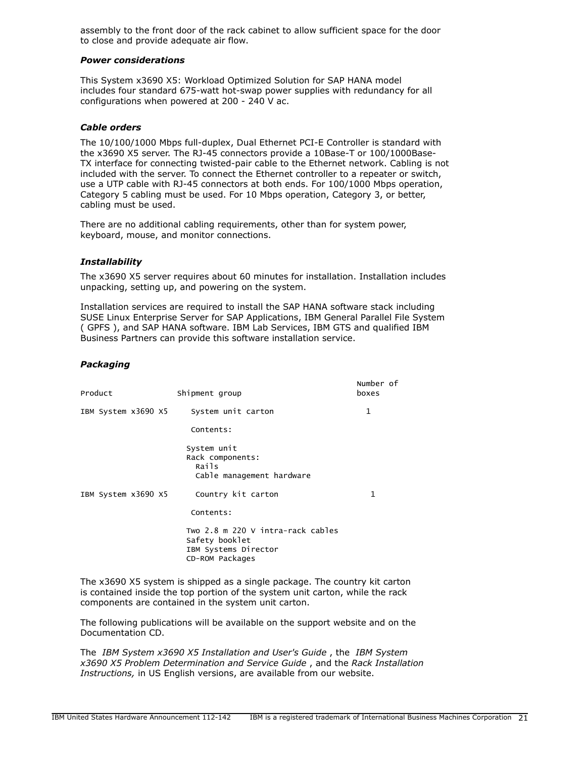assembly to the front door of the rack cabinet to allow sufficient space for the door to close and provide adequate air flow.

#### *Power considerations*

This System x3690 X5: Workload Optimized Solution for SAP HANA model includes four standard 675-watt hot-swap power supplies with redundancy for all configurations when powered at 200 - 240 V ac.

## *Cable orders*

The 10/100/1000 Mbps full-duplex, Dual Ethernet PCI-E Controller is standard with the x3690 X5 server. The RJ-45 connectors provide a 10Base-T or 100/1000Base-TX interface for connecting twisted-pair cable to the Ethernet network. Cabling is not included with the server. To connect the Ethernet controller to a repeater or switch, use a UTP cable with RJ-45 connectors at both ends. For 100/1000 Mbps operation, Category 5 cabling must be used. For 10 Mbps operation, Category 3, or better, cabling must be used.

There are no additional cabling requirements, other than for system power, keyboard, mouse, and monitor connections.

#### *Installability*

The x3690 X5 server requires about 60 minutes for installation. Installation includes unpacking, setting up, and powering on the system.

Installation services are required to install the SAP HANA software stack including SUSE Linux Enterprise Server for SAP Applications, IBM General Parallel File System ( GPFS ), and SAP HANA software. IBM Lab Services, IBM GTS and qualified IBM Business Partners can provide this software installation service.

#### *Packaging*

| Product             | Shipment group                                                                                 | Number of<br>boxes |
|---------------------|------------------------------------------------------------------------------------------------|--------------------|
| IBM System x3690 X5 | System unit carton                                                                             | $\mathbf{1}$       |
|                     | Contents:                                                                                      |                    |
|                     | System unit<br>Rack components:<br>Rails<br>Cable management hardware                          |                    |
| IBM System x3690 X5 | Country kit carton<br>Contents:                                                                | 1                  |
|                     | Two 2.8 m 220 V intra-rack cables<br>Safety booklet<br>IBM Systems Director<br>CD-ROM Packages |                    |

The x3690 X5 system is shipped as a single package. The country kit carton is contained inside the top portion of the system unit carton, while the rack components are contained in the system unit carton.

The following publications will be available on the support website and on the Documentation CD.

The *IBM System x3690 X5 Installation and User's Guide* , the *IBM System x3690 X5 Problem Determination and Service Guide* , and the *Rack Installation Instructions,* in US English versions, are available from our website.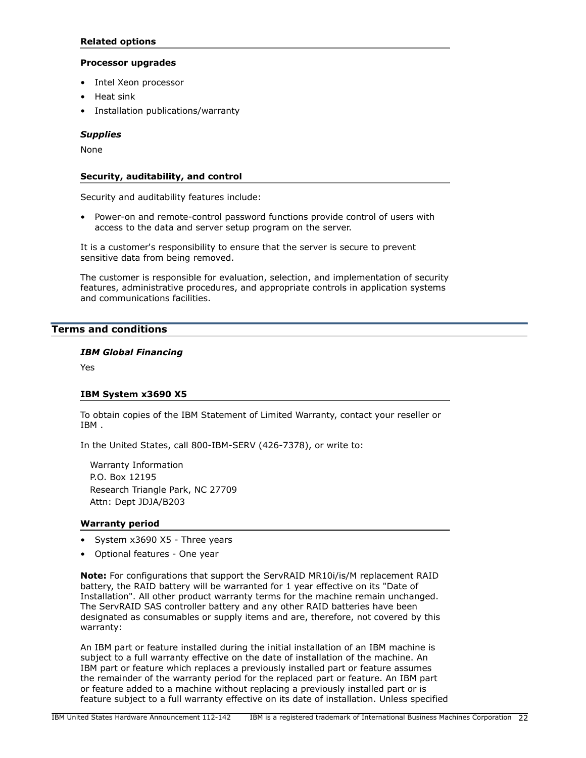# **Related options**

## **Processor upgrades**

- Intel Xeon processor
- Heat sink
- Installation publications/warranty

## *Supplies*

None

## **Security, auditability, and control**

Security and auditability features include:

• Power-on and remote-control password functions provide control of users with access to the data and server setup program on the server.

It is a customer's responsibility to ensure that the server is secure to prevent sensitive data from being removed.

The customer is responsible for evaluation, selection, and implementation of security features, administrative procedures, and appropriate controls in application systems and communications facilities.

# <span id="page-21-0"></span>**Terms and conditions**

## *IBM Global Financing*

Yes

#### **IBM System x3690 X5**

To obtain copies of the IBM Statement of Limited Warranty, contact your reseller or IBM .

In the United States, call 800-IBM-SERV (426-7378), or write to:

Warranty Information P.O. Box 12195 Research Triangle Park, NC 27709 Attn: Dept JDJA/B203

#### **Warranty period**

- System x3690 X5 Three years
- Optional features One year

**Note:** For configurations that support the ServRAID MR10i/is/M replacement RAID battery, the RAID battery will be warranted for 1 year effective on its "Date of Installation". All other product warranty terms for the machine remain unchanged. The ServRAID SAS controller battery and any other RAID batteries have been designated as consumables or supply items and are, therefore, not covered by this warranty:

An IBM part or feature installed during the initial installation of an IBM machine is subject to a full warranty effective on the date of installation of the machine. An IBM part or feature which replaces a previously installed part or feature assumes the remainder of the warranty period for the replaced part or feature. An IBM part or feature added to a machine without replacing a previously installed part or is feature subject to a full warranty effective on its date of installation. Unless specified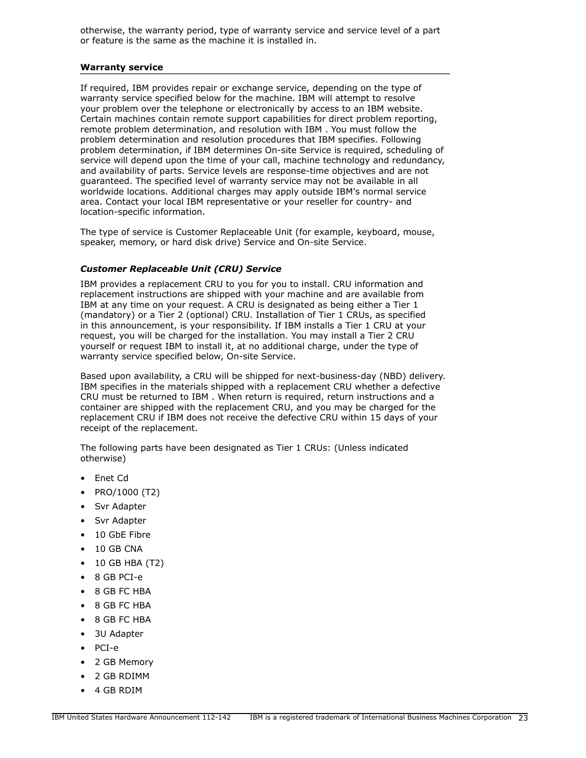otherwise, the warranty period, type of warranty service and service level of a part or feature is the same as the machine it is installed in.

#### **Warranty service**

If required, IBM provides repair or exchange service, depending on the type of warranty service specified below for the machine. IBM will attempt to resolve your problem over the telephone or electronically by access to an IBM website. Certain machines contain remote support capabilities for direct problem reporting, remote problem determination, and resolution with IBM . You must follow the problem determination and resolution procedures that IBM specifies. Following problem determination, if IBM determines On-site Service is required, scheduling of service will depend upon the time of your call, machine technology and redundancy, and availability of parts. Service levels are response-time objectives and are not guaranteed. The specified level of warranty service may not be available in all worldwide locations. Additional charges may apply outside IBM's normal service area. Contact your local IBM representative or your reseller for country- and location-specific information.

The type of service is Customer Replaceable Unit (for example, keyboard, mouse, speaker, memory, or hard disk drive) Service and On-site Service.

## *Customer Replaceable Unit (CRU) Service*

IBM provides a replacement CRU to you for you to install. CRU information and replacement instructions are shipped with your machine and are available from IBM at any time on your request. A CRU is designated as being either a Tier 1 (mandatory) or a Tier 2 (optional) CRU. Installation of Tier 1 CRUs, as specified in this announcement, is your responsibility. If IBM installs a Tier 1 CRU at your request, you will be charged for the installation. You may install a Tier 2 CRU yourself or request IBM to install it, at no additional charge, under the type of warranty service specified below, On-site Service.

Based upon availability, a CRU will be shipped for next-business-day (NBD) delivery. IBM specifies in the materials shipped with a replacement CRU whether a defective CRU must be returned to IBM . When return is required, return instructions and a container are shipped with the replacement CRU, and you may be charged for the replacement CRU if IBM does not receive the defective CRU within 15 days of your receipt of the replacement.

The following parts have been designated as Tier 1 CRUs: (Unless indicated otherwise)

- Enet Cd
- PRO/1000 (T2)
- Svr Adapter
- Svr Adapter
- 10 GbE Fibre
- 10 GB CNA
- 10 GB HBA (T2)
- 8 GB PCI-e
- 8 GB FC HBA
- 8 GB FC HBA
- 8 GB FC HBA
- 3U Adapter
- PCI-e
- 2 GB Memory
- 2 GB RDIMM
- 4 GB RDIM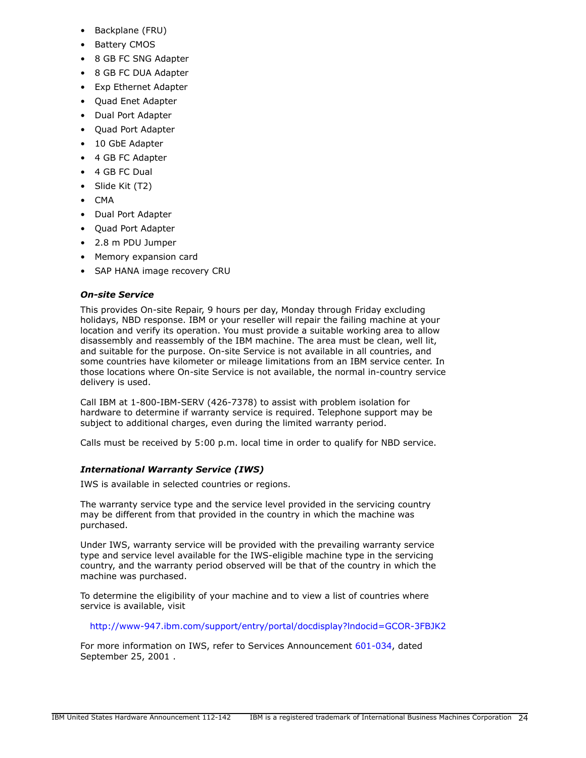- Backplane (FRU)
- **Battery CMOS**
- 8 GB FC SNG Adapter
- 8 GB FC DUA Adapter
- Exp Ethernet Adapter
- Quad Enet Adapter
- Dual Port Adapter
- Quad Port Adapter
- 10 GbE Adapter
- 4 GB FC Adapter
- 4 GB FC Dual
- Slide Kit (T2)
- CMA
- Dual Port Adapter
- Quad Port Adapter
- 2.8 m PDU Jumper
- Memory expansion card
- SAP HANA image recovery CRU

# *On-site Service*

This provides On-site Repair, 9 hours per day, Monday through Friday excluding holidays, NBD response. IBM or your reseller will repair the failing machine at your location and verify its operation. You must provide a suitable working area to allow disassembly and reassembly of the IBM machine. The area must be clean, well lit, and suitable for the purpose. On-site Service is not available in all countries, and some countries have kilometer or mileage limitations from an IBM service center. In those locations where On-site Service is not available, the normal in-country service delivery is used.

Call IBM at 1-800-IBM-SERV (426-7378) to assist with problem isolation for hardware to determine if warranty service is required. Telephone support may be subject to additional charges, even during the limited warranty period.

Calls must be received by 5:00 p.m. local time in order to qualify for NBD service.

# *International Warranty Service (IWS)*

IWS is available in selected countries or regions.

The warranty service type and the service level provided in the servicing country may be different from that provided in the country in which the machine was purchased.

Under IWS, warranty service will be provided with the prevailing warranty service type and service level available for the IWS-eligible machine type in the servicing country, and the warranty period observed will be that of the country in which the machine was purchased.

To determine the eligibility of your machine and to view a list of countries where service is available, visit

<http://www-947.ibm.com/support/entry/portal/docdisplay?lndocid=GCOR-3FBJK2>

For more information on IWS, refer to Services Announcement [601-034,](http://www.ibm.com/common/ssi/cgi-bin/ssialias?infotype=an&subtype=ca&appname=gpateam&supplier=897&letternum=ENUS601-034) dated September 25, 2001 .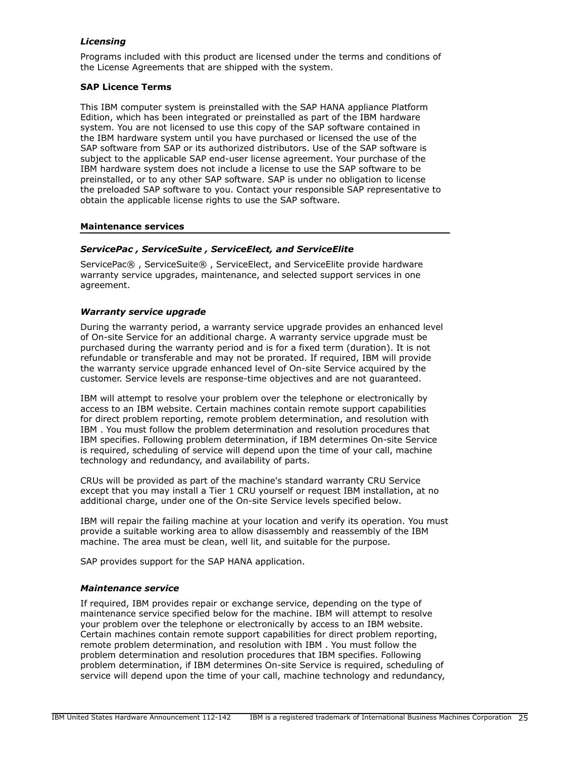# *Licensing*

Programs included with this product are licensed under the terms and conditions of the License Agreements that are shipped with the system.

## **SAP Licence Terms**

This IBM computer system is preinstalled with the SAP HANA appliance Platform Edition, which has been integrated or preinstalled as part of the IBM hardware system. You are not licensed to use this copy of the SAP software contained in the IBM hardware system until you have purchased or licensed the use of the SAP software from SAP or its authorized distributors. Use of the SAP software is subject to the applicable SAP end-user license agreement. Your purchase of the IBM hardware system does not include a license to use the SAP software to be preinstalled, or to any other SAP software. SAP is under no obligation to license the preloaded SAP software to you. Contact your responsible SAP representative to obtain the applicable license rights to use the SAP software.

#### **Maintenance services**

## *ServicePac , ServiceSuite , ServiceElect, and ServiceElite*

ServicePac® , ServiceSuite® , ServiceElect, and ServiceElite provide hardware warranty service upgrades, maintenance, and selected support services in one agreement.

## *Warranty service upgrade*

During the warranty period, a warranty service upgrade provides an enhanced level of On-site Service for an additional charge. A warranty service upgrade must be purchased during the warranty period and is for a fixed term (duration). It is not refundable or transferable and may not be prorated. If required, IBM will provide the warranty service upgrade enhanced level of On-site Service acquired by the customer. Service levels are response-time objectives and are not guaranteed.

IBM will attempt to resolve your problem over the telephone or electronically by access to an IBM website. Certain machines contain remote support capabilities for direct problem reporting, remote problem determination, and resolution with IBM . You must follow the problem determination and resolution procedures that IBM specifies. Following problem determination, if IBM determines On-site Service is required, scheduling of service will depend upon the time of your call, machine technology and redundancy, and availability of parts.

CRUs will be provided as part of the machine's standard warranty CRU Service except that you may install a Tier 1 CRU yourself or request IBM installation, at no additional charge, under one of the On-site Service levels specified below.

IBM will repair the failing machine at your location and verify its operation. You must provide a suitable working area to allow disassembly and reassembly of the IBM machine. The area must be clean, well lit, and suitable for the purpose.

SAP provides support for the SAP HANA application.

#### *Maintenance service*

If required, IBM provides repair or exchange service, depending on the type of maintenance service specified below for the machine. IBM will attempt to resolve your problem over the telephone or electronically by access to an IBM website. Certain machines contain remote support capabilities for direct problem reporting, remote problem determination, and resolution with IBM . You must follow the problem determination and resolution procedures that IBM specifies. Following problem determination, if IBM determines On-site Service is required, scheduling of service will depend upon the time of your call, machine technology and redundancy,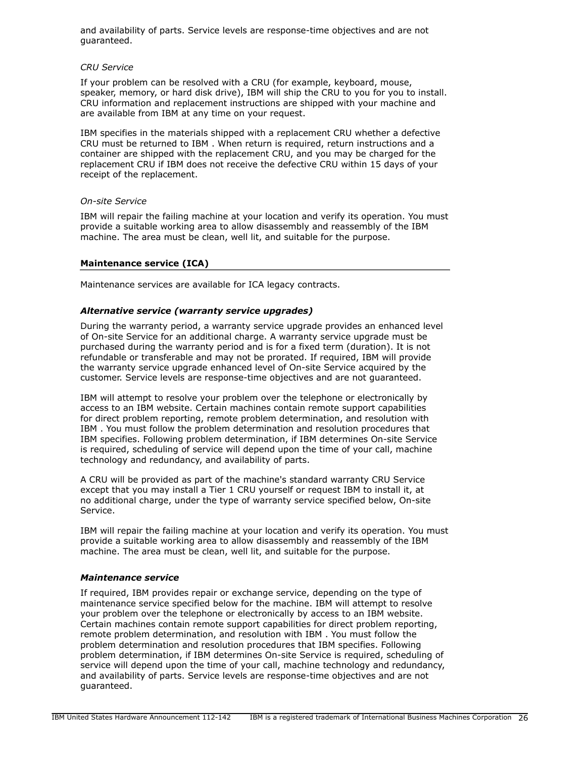and availability of parts. Service levels are response-time objectives and are not guaranteed.

#### *CRU Service*

If your problem can be resolved with a CRU (for example, keyboard, mouse, speaker, memory, or hard disk drive), IBM will ship the CRU to you for you to install. CRU information and replacement instructions are shipped with your machine and are available from IBM at any time on your request.

IBM specifies in the materials shipped with a replacement CRU whether a defective CRU must be returned to IBM . When return is required, return instructions and a container are shipped with the replacement CRU, and you may be charged for the replacement CRU if IBM does not receive the defective CRU within 15 days of your receipt of the replacement.

#### *On-site Service*

IBM will repair the failing machine at your location and verify its operation. You must provide a suitable working area to allow disassembly and reassembly of the IBM machine. The area must be clean, well lit, and suitable for the purpose.

## **Maintenance service (ICA)**

Maintenance services are available for ICA legacy contracts.

## *Alternative service (warranty service upgrades)*

During the warranty period, a warranty service upgrade provides an enhanced level of On-site Service for an additional charge. A warranty service upgrade must be purchased during the warranty period and is for a fixed term (duration). It is not refundable or transferable and may not be prorated. If required, IBM will provide the warranty service upgrade enhanced level of On-site Service acquired by the customer. Service levels are response-time objectives and are not guaranteed.

IBM will attempt to resolve your problem over the telephone or electronically by access to an IBM website. Certain machines contain remote support capabilities for direct problem reporting, remote problem determination, and resolution with IBM . You must follow the problem determination and resolution procedures that IBM specifies. Following problem determination, if IBM determines On-site Service is required, scheduling of service will depend upon the time of your call, machine technology and redundancy, and availability of parts.

A CRU will be provided as part of the machine's standard warranty CRU Service except that you may install a Tier 1 CRU yourself or request IBM to install it, at no additional charge, under the type of warranty service specified below, On-site Service.

IBM will repair the failing machine at your location and verify its operation. You must provide a suitable working area to allow disassembly and reassembly of the IBM machine. The area must be clean, well lit, and suitable for the purpose.

#### *Maintenance service*

If required, IBM provides repair or exchange service, depending on the type of maintenance service specified below for the machine. IBM will attempt to resolve your problem over the telephone or electronically by access to an IBM website. Certain machines contain remote support capabilities for direct problem reporting, remote problem determination, and resolution with IBM . You must follow the problem determination and resolution procedures that IBM specifies. Following problem determination, if IBM determines On-site Service is required, scheduling of service will depend upon the time of your call, machine technology and redundancy, and availability of parts. Service levels are response-time objectives and are not guaranteed.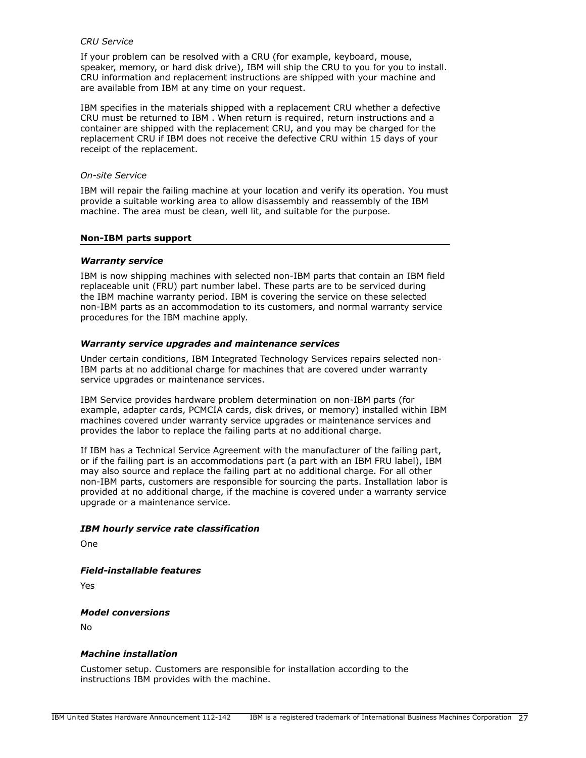#### *CRU Service*

If your problem can be resolved with a CRU (for example, keyboard, mouse, speaker, memory, or hard disk drive), IBM will ship the CRU to you for you to install. CRU information and replacement instructions are shipped with your machine and are available from IBM at any time on your request.

IBM specifies in the materials shipped with a replacement CRU whether a defective CRU must be returned to IBM . When return is required, return instructions and a container are shipped with the replacement CRU, and you may be charged for the replacement CRU if IBM does not receive the defective CRU within 15 days of your receipt of the replacement.

#### *On-site Service*

IBM will repair the failing machine at your location and verify its operation. You must provide a suitable working area to allow disassembly and reassembly of the IBM machine. The area must be clean, well lit, and suitable for the purpose.

#### **Non-IBM parts support**

#### *Warranty service*

IBM is now shipping machines with selected non-IBM parts that contain an IBM field replaceable unit (FRU) part number label. These parts are to be serviced during the IBM machine warranty period. IBM is covering the service on these selected non-IBM parts as an accommodation to its customers, and normal warranty service procedures for the IBM machine apply.

#### *Warranty service upgrades and maintenance services*

Under certain conditions, IBM Integrated Technology Services repairs selected non-IBM parts at no additional charge for machines that are covered under warranty service upgrades or maintenance services.

IBM Service provides hardware problem determination on non-IBM parts (for example, adapter cards, PCMCIA cards, disk drives, or memory) installed within IBM machines covered under warranty service upgrades or maintenance services and provides the labor to replace the failing parts at no additional charge.

If IBM has a Technical Service Agreement with the manufacturer of the failing part, or if the failing part is an accommodations part (a part with an IBM FRU label), IBM may also source and replace the failing part at no additional charge. For all other non-IBM parts, customers are responsible for sourcing the parts. Installation labor is provided at no additional charge, if the machine is covered under a warranty service upgrade or a maintenance service.

#### *IBM hourly service rate classification*

One

*Field-installable features*

Yes

#### *Model conversions*

No

#### *Machine installation*

Customer setup. Customers are responsible for installation according to the instructions IBM provides with the machine.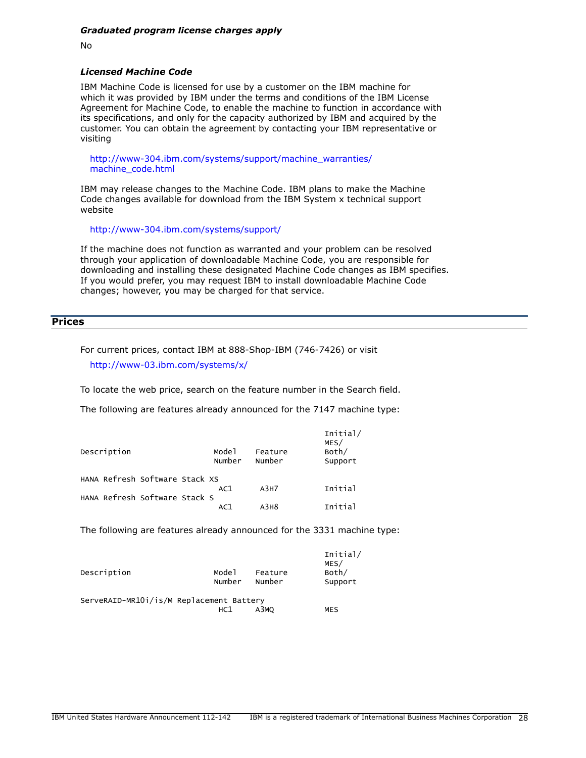No

## *Licensed Machine Code*

IBM Machine Code is licensed for use by a customer on the IBM machine for which it was provided by IBM under the terms and conditions of the IBM License Agreement for Machine Code, to enable the machine to function in accordance with its specifications, and only for the capacity authorized by IBM and acquired by the customer. You can obtain the agreement by contacting your IBM representative or visiting

[http://www-304.ibm.com/systems/support/machine\\_warranties/](http://www-304.ibm.com/systems/support/machine_warranties/machine_code.html) [machine\\_code.html](http://www-304.ibm.com/systems/support/machine_warranties/machine_code.html)

IBM may release changes to the Machine Code. IBM plans to make the Machine Code changes available for download from the IBM System x technical support website

<http://www-304.ibm.com/systems/support/>

If the machine does not function as warranted and your problem can be resolved through your application of downloadable Machine Code, you are responsible for downloading and installing these designated Machine Code changes as IBM specifies. If you would prefer, you may request IBM to install downloadable Machine Code changes; however, you may be charged for that service.

# <span id="page-27-0"></span>**Prices**

For current prices, contact IBM at 888-Shop-IBM (746-7426) or visit <http://www-03.ibm.com/systems/x/>

To locate the web price, search on the feature number in the Search field.

The following are features already announced for the 7147 machine type:

| Description                    | Mode <sup>1</sup><br>Number | Feature<br>Number | Initial/<br>MES/<br>Both/<br>Support |
|--------------------------------|-----------------------------|-------------------|--------------------------------------|
| HANA Refresh Software Stack XS |                             | A3H7              | Initial                              |
| HANA Refresh Software Stack S  | AC1                         |                   |                                      |
|                                | AC1                         | A3H8              | Initial                              |

The following are features already announced for the 3331 machine type:

| Description                              | Mode1<br>Number | Feature<br>Number | Initial/<br>MES/<br>Both/<br>Support |
|------------------------------------------|-----------------|-------------------|--------------------------------------|
| ServeRAID-MR101/is/M Replacement Battery |                 |                   |                                      |
|                                          | HC1             | A3MO              | <b>MES</b>                           |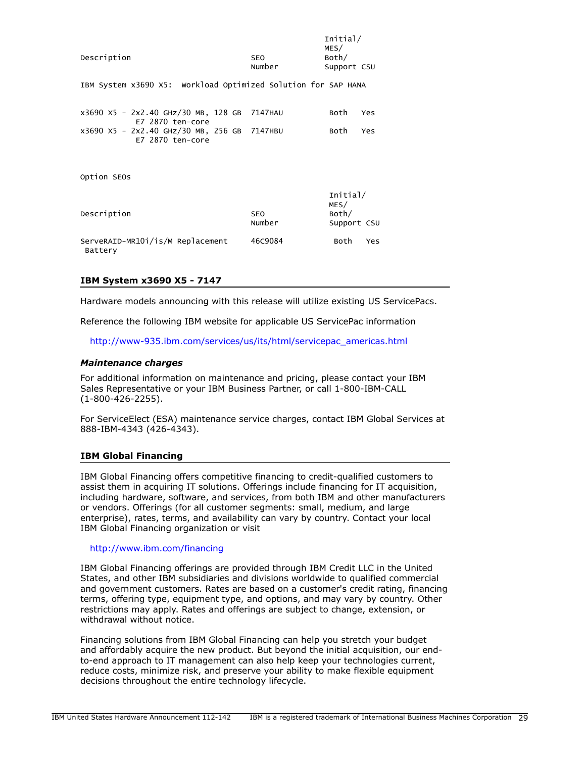| Description                                                       | <b>SEO</b><br>Number | Initial/<br>MES/<br>Both/<br>Support CSU |
|-------------------------------------------------------------------|----------------------|------------------------------------------|
| IBM System x3690 X5: Workload Optimized Solution for SAP HANA     |                      |                                          |
| x3690 X5 - 2x2.40 GHz/30 MB, 128 GB 7147HAU<br>$E7$ 2870 ten-core |                      | Both<br>Yes                              |
| x3690 X5 - 2x2.40 GHz/30 MB, 256 GB 7147HBU<br>E7 2870 ten-core   |                      | Both<br>Yes                              |
| Option SEOS                                                       |                      |                                          |
| Description                                                       | <b>SEO</b><br>Number | Initial/<br>MES/<br>Both/<br>Support CSU |
| ServeRAID-MR101/is/M Replacement<br>Battery                       | 46C9084              | Both<br>Yes                              |

#### **IBM System x3690 X5 - 7147**

Hardware models announcing with this release will utilize existing US ServicePacs.

Reference the following IBM website for applicable US ServicePac information

[http://www-935.ibm.com/services/us/its/html/servicepac\\_americas.html](http://www-935.ibm.com/services/us/its/html/servicepac_americas.html)

#### *Maintenance charges*

For additional information on maintenance and pricing, please contact your IBM Sales Representative or your IBM Business Partner, or call 1-800-IBM-CALL (1-800-426-2255).

For ServiceElect (ESA) maintenance service charges, contact IBM Global Services at 888-IBM-4343 (426-4343).

#### **IBM Global Financing**

IBM Global Financing offers competitive financing to credit-qualified customers to assist them in acquiring IT solutions. Offerings include financing for IT acquisition, including hardware, software, and services, from both IBM and other manufacturers or vendors. Offerings (for all customer segments: small, medium, and large enterprise), rates, terms, and availability can vary by country. Contact your local IBM Global Financing organization or visit

#### <http://www.ibm.com/financing>

IBM Global Financing offerings are provided through IBM Credit LLC in the United States, and other IBM subsidiaries and divisions worldwide to qualified commercial and government customers. Rates are based on a customer's credit rating, financing terms, offering type, equipment type, and options, and may vary by country. Other restrictions may apply. Rates and offerings are subject to change, extension, or withdrawal without notice.

Financing solutions from IBM Global Financing can help you stretch your budget and affordably acquire the new product. But beyond the initial acquisition, our endto-end approach to IT management can also help keep your technologies current, reduce costs, minimize risk, and preserve your ability to make flexible equipment decisions throughout the entire technology lifecycle.